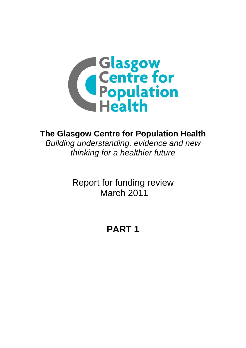

# **The Glasgow Centre for Population Health**

*Building understanding, evidence and new thinking for a healthier future* 

> Report for funding review March 2011

# **PART 1**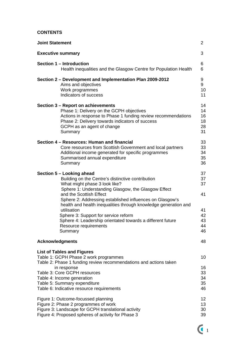# **CONTENTS**

| <b>Joint Statement</b>                                                                                                                                                                                                                                                                                                                                                                                                                                                                    | $\overline{2}$                                     |  |
|-------------------------------------------------------------------------------------------------------------------------------------------------------------------------------------------------------------------------------------------------------------------------------------------------------------------------------------------------------------------------------------------------------------------------------------------------------------------------------------------|----------------------------------------------------|--|
| <b>Executive summary</b>                                                                                                                                                                                                                                                                                                                                                                                                                                                                  | 3                                                  |  |
| Section 1 - Introduction<br>Health inequalities and the Glasgow Centre for Population Health                                                                                                                                                                                                                                                                                                                                                                                              | 6<br>6                                             |  |
| Section 2 – Development and Implementation Plan 2009-2012<br>Aims and objectives<br>Work programmes<br>Indicators of success                                                                                                                                                                                                                                                                                                                                                              | 9<br>9<br>10<br>11                                 |  |
| Section 3 - Report on achievements<br>Phase 1: Delivery on the GCPH objectives<br>Actions in response to Phase 1 funding review recommendations<br>Phase 2: Delivery towards indicators of success<br>GCPH as an agent of change<br>Summary                                                                                                                                                                                                                                               | 14<br>14<br>16<br>18<br>28<br>31                   |  |
| Section 4 – Resources: Human and financial<br>Core resources from Scottish Government and local partners<br>Additional income generated for specific programmes<br>Summarised annual expenditure<br>Summary                                                                                                                                                                                                                                                                               | 33<br>33<br>34<br>35<br>36                         |  |
| Section 5 - Looking ahead<br>Building on the Centre's distinctive contribution<br>What might phase 3 look like?<br>Sphere 1: Understanding Glasgow, the Glasgow Effect<br>and the Scottish Effect<br>Sphere 2: Addressing established influences on Glasgow's<br>health and health inequalities through knowledge generation and<br>utilisation<br>Sphere 3: Support for service reform<br>Sphere 4: Leadership orientated towards a different future<br>Resource requirements<br>Summary | 37<br>37<br>37<br>41<br>41<br>42<br>43<br>44<br>46 |  |
| <b>Acknowledgments</b>                                                                                                                                                                                                                                                                                                                                                                                                                                                                    | 48                                                 |  |
| <b>List of Tables and Figures</b><br>Table 1: GCPH Phase 2 work programmes<br>Table 2: Phase 1 funding review recommendations and actions taken<br>in response<br>Table 3: Core GCPH resources<br>Table 4: Income generation<br>Table 5: Summary expenditure<br>Table 6: Indicative resource requirements                                                                                                                                                                                 | 10<br>16<br>33<br>34<br>35<br>46                   |  |
| 12<br>Figure 1: Outcome-focussed planning<br>Figure 2: Phase 2 programmes of work<br>13<br>Figure 3: Landscape for GCPH translational activity<br>30<br>Figure 4: Proposed spheres of activity for Phase 3<br>39                                                                                                                                                                                                                                                                          |                                                    |  |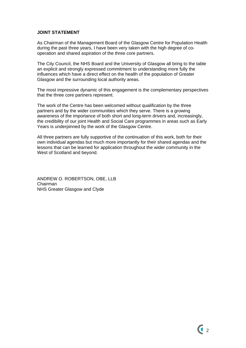## **JOINT STATEMENT**

As Chairman of the Management Board of the Glasgow Centre for Population Health during the past three years, I have been very taken with the high degree of cooperation and shared aspiration of the three core partners.

The City Council, the NHS Board and the University of Glasgow all bring to the table an explicit and strongly expressed commitment to understanding more fully the influences which have a direct effect on the health of the population of Greater Glasgow and the surrounding local authority areas.

The most impressive dynamic of this engagement is the complementary perspectives that the three core partners represent.

The work of the Centre has been welcomed without qualification by the three partners and by the wider communities which they serve. There is a growing awareness of the importance of both short and long-term drivers and, increasingly, the credibility of our joint Health and Social Care programmes in areas such as Early Years is underpinned by the work of the Glasgow Centre.

All three partners are fully supportive of the continuation of this work, both for their own individual agendas but much more importantly for their shared agendas and the lessons that can be learned for application throughout the wider community in the West of Scotland and beyond.

ANDREW O. ROBERTSON, OBE, LLB Chairman NHS Greater Glasgow and Clyde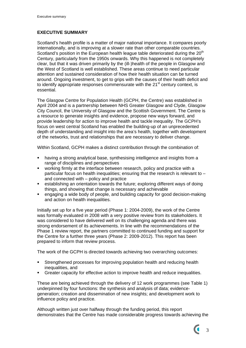# **EXECUTIVE SUMMARY**

Scotland's health profile is a matter of major national importance. It compares poorly internationally, and is improving at a slower rate than other comparable countries. Scotland's position in the European health league table deteriorated during the 20<sup>th</sup> Century, particularly from the 1950s onwards. Why this happened is not completely clear, but that it was driven primarily by the (ill-)health of the people in Glasgow and the West of Scotland is well established. These areas continue to need particular attention and sustained consideration of how their health situation can be turned around. Ongoing investment, to get to grips with the causes of their health deficit and to identify appropriate responses commensurate with the  $21<sup>st</sup>$  century context, is essential.

The Glasgow Centre for Population Health (GCPH, the Centre) was established in April 2004 and is a partnership between NHS Greater Glasgow and Clyde, Glasgow City Council, the University of Glasgow and the Scottish Government. The Centre is a resource to generate insights and evidence, propose new ways forward, and provide leadership for action to improve health and tackle inequality. The GCPH's focus on west central Scotland has enabled the building-up of an unprecedented depth of understanding and insight into the area's health, together with development of the networks, trust and relationships that are necessary to deliver change.

Within Scotland, GCPH makes a distinct contribution through the combination of:

- having a strong analytical base, synthesising intelligence and insights from a range of disciplines and perspectives
- working firmly at the interface between research, policy and practice with a particular focus on health inequalities; ensuring that the research is relevant to – and connected with – policy and practice
- establishing an orientation towards the future; exploring different ways of doing things, and showing that change is necessary and achievable
- engaging a wide body of people, and building capacity for good decision-making and action on health inequalities.

Initially set up for a five year period (Phase 1: 2004-2009), the work of the Centre was formally evaluated in 2008 with a very positive review from its stakeholders. It was considered to have delivered well on its challenging agenda and there was strong endorsement of its achievements. In line with the recommendations of the Phase 1 review report, the partners committed to continued funding and support for the Centre for a further three years (Phase 2: 2009-2012). This report has been prepared to inform that review process.

The work of the GCPH is directed towards achieving two overarching outcomes:

- Strengthened processes for improving population health and reducing health inequalities, and
- Greater capacity for effective action to improve health and reduce inequalities.

These are being achieved through the delivery of 12 work programmes (see Table 1) underpinned by four functions: the synthesis and analysis of data; evidencegeneration; creation and dissemination of new insights; and development work to influence policy and practice.

Although written just over halfway through the funding period, this report demonstrates that the Centre has made considerable progress towards achieving the

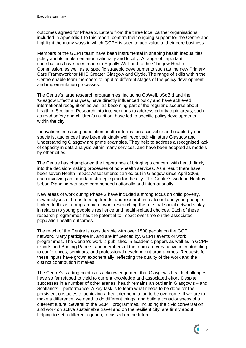outcomes agreed for Phase 2. Letters from the three local partner organisations, included in Appendix 1 to this report, confirm their ongoing support for the Centre and highlight the many ways in which GCPH is seen to add value to their core business.

Members of the GCPH team have been instrumental in shaping health inequalities policy and its implementation nationally and locally. A range of important contributions have been made to Equally Well and to the Glasgow Health Commission, as well as to specific strategic developments such as the new Primary Care Framework for NHS Greater Glasgow and Clyde. The range of skills within the Centre enable team members to input at different stages of the policy development and implementation processes.

The Centre's large research programmes, including GoWell, pSoBid and the 'Glasgow Effect' analyses, have directly influenced policy and have achieved international recognition as well as becoming part of the regular discourse about health in Scotland. Research into interventions to address priority topic areas, such as road safety and children's nutrition, have led to specific policy developments within the city.

Innovations in making population health information accessible and usable by nonspecialist audiences have been strikingly well received: Miniature Glasgow and Understanding Glasgow are prime examples. They help to address a recognised lack of capacity in data analysis within many services, and have been adopted as models by other cities.

The Centre has championed the importance of bringing a concern with health firmly into the decision-making processes of non-health services. As a result there have been seven Health Impact Assessments carried out in Glasgow since April 2009, each involving an important strategic plan for the city. The Centre's work on Healthy Urban Planning has been commended nationally and internationally.

New areas of work during Phase 2 have included a strong focus on child poverty, new analyses of breastfeeding trends, and research into alcohol and young people. Linked to this is a programme of work researching the role that social networks play in relation to young people's resilience and health-related choices. Each of these research programmes has the potential to impact over time on the associated population health outcomes.

The reach of the Centre is considerable with over 1500 people on the GCPH network. Many participate in, and are influenced by, GCPH events or work programmes. The Centre's work is published in academic papers as well as in GCPH reports and Briefing Papers, and members of the team are very active in contributing to conferences, seminars, and professional development programmes. Requests for these inputs have grown exponentially, reflecting the quality of the work and the distinct contribution it makes.

The Centre's starting point is its acknowledgement that Glasgow's health challenges have so far refused to yield to current knowledge and associated effort. Despite successes in a number of other arenas, health remains an outlier in Glasgow's – and Scotland's – performance. A key task is to learn what needs to be done for the persistent obstacles to achieving a healthier population to be overcome. If we are to make a difference, we need to do different things, and build a consciousness of a different future. Several of the GCPH programmes, including the civic conversation and work on active sustainable travel and on the resilient city, are firmly about helping to set a different agenda, focussed on the future.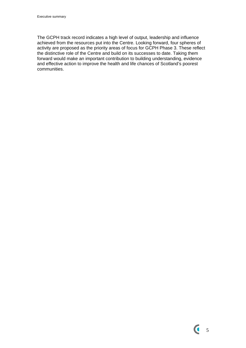The GCPH track record indicates a high level of output, leadership and influence achieved from the resources put into the Centre. Looking forward, four spheres of activity are proposed as the priority areas of focus for GCPH Phase 3. These reflect the distinctive role of the Centre and build on its successes to date. Taking them forward would make an important contribution to building understanding, evidence and effective action to improve the health and life chances of Scotland's poorest communities.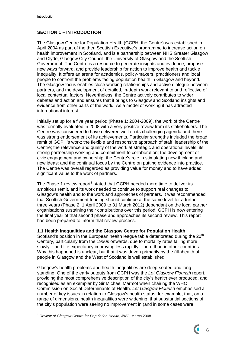# **SECTION 1 – INTRODUCTION**

The Glasgow Centre for Population Health (GCPH, the Centre) was established in April 2004 as part of the then Scottish Executive's programme to increase action on health improvement in Scotland, and is a partnership between NHS Greater Glasgow and Clyde, Glasgow City Council, the University of Glasgow and the Scottish Government. The Centre is a resource to generate insights and evidence, propose new ways forward, and provide leadership for action to improve health and tackle inequality. It offers an arena for academics, policy-makers, practitioners and local people to confront the problems facing population health in Glasgow and beyond. The Glasgow focus enables close working relationships and active dialogue between partners, and the development of detailed, in-depth work relevant to and reflective of local contextual factors. Nevertheless, the Centre actively contributes to wider debates and action and ensures that it brings to Glasgow and Scotland insights and evidence from other parts of the world. As a model of working it has attracted international interest.

Initially set up for a five year period (Phase 1: 2004-2009), the work of the Centre was formally evaluated in 2008 with a very positive review from its stakeholders. The Centre was considered to have delivered well on its challenging agenda and there was strong endorsement of its achievements. Particular strengths included the broad remit of GCPH's work; the flexible and responsive approach of staff; leadership of the Centre; the relevance and quality of the work at strategic and operational levels; its strong partnership working and commitment to collaboration; the development of civic engagement and ownership; the Centre's role in stimulating new thinking and new ideas; and the continual focus by the Centre on putting evidence into practice. The Centre was overall regarded as providing value for money and to have added significant value to the work of partners.

The Phase [1](#page-6-0) review report<sup>1</sup> stated that GCPH needed more time to deliver its ambitious remit, and its work needed to continue to support real changes to Glasgow's health and to the work and approaches of partners. It was recommended that Scottish Government funding should continue at the same level for a further three years (Phase 2: 1 April 2009 to 31 March 2012) dependant on the local partner organisations sustaining their contributions over this period. GCPH is now entering the final year of that second phase and approaches its second review. This report has been prepared to inform that review process.

# **1.1 Health inequalities and the Glasgow Centre for Population Health**

Scotland's position in the European health league table deteriorated during the  $20<sup>th</sup>$ Century, particularly from the 1950s onwards, due to mortality rates falling more slowly – and life expectancy improving less rapidly – here than in other countries. Why this happened is unclear, but that it was driven primarily by the (ill-)health of people in Glasgow and the West of Scotland is well established.

Glasgow's health problems and health inequalities are deep-seated and longstanding. One of the early outputs from GCPH was the *Let Glasgow Flourish* report, providing the most comprehensive description of the city's health ever produced, and recognised as an exemplar by Sir Michael Marmot when chairing the WHO Commission on Social Determinants of Health. *Let Glasgow Flourish* emphasised a number of key issues in relation to Glasgow's health status: for example, that, on a range of dimensions, health inequalities were widening; that substantial sections of the city's population were seeing no improvement in (and in some cases were

1

<span id="page-6-0"></span><sup>1</sup> *Review of Glasgow Centre for Population Health*, JWC, March 2008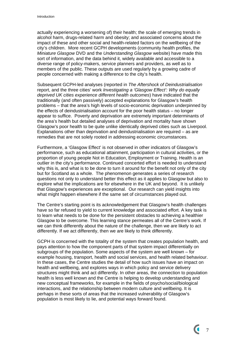actually experiencing a worsening of) their health; the scale of emerging trends in alcohol harm, drugs-related harm and obesity; and associated concerns about the impact of these and other social and health-related factors on the wellbeing of the city's children. More recent GCPH developments (community health profiles, the *Miniature Glasgow* DVD and the *Understanding Glasgow* website) have made this sort of information, and the data behind it, widely available and accessible to a diverse range of policy-makers, service planners and providers, as well as to members of the public. These outputs are used regularly by a growing cadre of people concerned with making a difference to the city's health.

Subsequent GCPH-led analyses (reported in *The Aftershock of Deindustrialisation*  report, and the three cities' work *Investigating a 'Glasgow Effect': Why do equally deprived UK cities experience different health outcomes*) have indicated that the traditionally (and often passively) accepted explanations for Glasgow's health problems – that the area's high levels of socio-economic deprivation underpinned by the effects of deindustrialisation account for the poor health status – no longer appear to suffice. Poverty and deprivation are extremely important determinants of the area's health but detailed analyses of deprivation and mortality have shown Glasgow's poor health to be quite unlike identically deprived cities such as Liverpool. Explanations other than deprivation and deindustrialisation are required – as are remedies that are not solely rooted in addressing economic circumstances.

Furthermore, a 'Glasgow Effect' is not observed in other indicators of Glasgow's performance, such as educational attainment, participation in cultural activities, or the proportion of young people Not in Education, Employment or Training. Health is an outlier in the city's performance. Continued concerted effort is needed to understand why this is, and what is to be done to turn it around for the benefit not only of the city but for Scotland as a whole. The phenomenon generates a series of research questions not only to understand better this effect as it applies to Glasgow but also to explore what the implications are for elsewhere in the UK and beyond. It is unlikely that Glasgow's experiences are exceptional. Our research can yield insights into what might happen elsewhere if the same set of circumstances played out.

The Centre's starting point is its acknowledgement that Glasgow's health challenges have so far refused to yield to current knowledge and associated effort. A key task is to learn what needs to be done for the persistent obstacles to achieving a healthier Glasgow to be overcome. This learning stance permeates all of the Centre's work. If we can think differently about the nature of the challenge, then we are likely to act differently. If we act differently, then we are likely to think differently.

GCPH is concerned with the totality of the system that creates population health, and pays attention to how the component parts of that system impact differentially on subgroups of the population. Some aspects of the system are well known – for example housing, transport, health and social services, and health related behaviour. In these cases, the Centre studies the detail of how such issues have an impact on health and wellbeing, and explores ways in which policy and service delivery structures might think and act differently. In other areas, the connection to population health is less well known and the Centre is helping to develop understanding and new conceptual frameworks, for example in the fields of psycho/social/biological interactions, and the relationship between modern culture and wellbeing. It is perhaps in these sorts of areas that the increased vulnerability of Glasgow's population is most likely to lie, and potential ways forward found.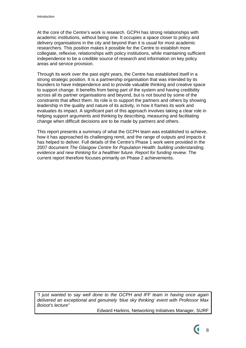At the core of the Centre's work is research. GCPH has strong relationships with academic institutions, without being one. It occupies a space closer to policy and delivery organisations in the city and beyond than it is usual for most academic researchers. This position makes it possible for the Centre to establish more collegiate, reflexive, relationships with policy institutions, while maintaining sufficient independence to be a credible source of research and information on key policy areas and service provision.

Through its work over the past eight years, the Centre has established itself in a strong strategic position. It is a partnership organisation that was intended by its founders to have independence and to provide valuable thinking and creative space to support change. It benefits from being part of the system and having credibility across all its partner organisations and beyond, but is not bound by some of the constraints that affect them. Its role is to support the partners and others by showing leadership in the quality and nature of its activity, in how it frames its work and evaluates its impact. A significant part of this approach involves taking a clear role in helping support arguments and thinking by describing, measuring and facilitating change when difficult decisions are to be made by partners and others.

This report presents a summary of what the GCPH team was established to achieve, how it has approached its challenging remit, and the range of outputs and impacts it has helped to deliver. Full details of the Centre's Phase 1 work were provided in the 2007 document *The Glasgow Centre for Population Health: building understanding, evidence and new thinking for a healthier future. Report for funding review*. The current report therefore focuses primarily on Phase 2 achievements.

*"I just wanted to say well done to the GCPH and IFF team in having once again delivered an exceptional and genuinely 'blue sky thinking' event with Professor Max Boisot's lecture"* 

Edward Harkins, Networking Initiatives Manager, SURF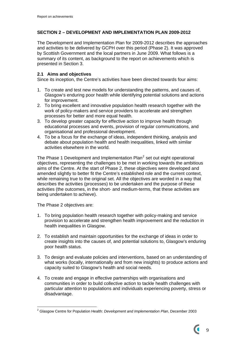# **SECTION 2 – DEVELOPMENT AND IMPLEMENTATION PLAN 2009-2012**

The Development and Implementation Plan for 2009-2012 describes the approaches and activities to be delivered by GCPH over this period (Phase 2). It was approved by Scottish Government and the local partners in June 2009. What follows is a summary of its content, as background to the report on achievements which is presented in Section 3.

# **2.1 Aims and objectives**

Since its inception, the Centre's activities have been directed towards four aims:

- 1. To create and test new models for understanding the patterns, and causes of, Glasgow's enduring poor health while identifying potential solutions and actions for improvement.
- 2. To bring excellent and innovative population health research together with the work of policy-makers and service providers to accelerate and strengthen processes for better and more equal health.
- 3. To develop greater capacity for effective action to improve health through educational processes and events, provision of regular communications, and organisational and professional development.
- 4. To be a focus for the exchange of ideas, independent thinking, analysis and debate about population health and health inequalities, linked with similar activities elsewhere in the world.

The Phase 1 Development and Implementation Plan $^2$  $^2$  set out eight operational objectives, representing the challenges to be met in working towards the ambitious aims of the Centre. At the start of Phase 2, these objectives were developed and amended slightly to better fit the Centre's established role and the current context, while remaining true to the original set. All the objectives are worded in a way that describes the activities (processes) to be undertaken and the purpose of these activities (the outcomes, in the short- and medium-terms, that these activities are being undertaken to achieve).

The Phase 2 objectives are:

- 1. To bring population health research together with policy-making and service provision to accelerate and strengthen health improvement and the reduction in health inequalities in Glasgow.
- 2. To establish and maintain opportunities for the exchange of ideas in order to create insights into the causes of, and potential solutions to, Glasgow's enduring poor health status.
- 3. To design and evaluate policies and interventions, based on an understanding of what works (locally, internationally and from new insights) to produce actions and capacity suited to Glasgow's health and social needs.
- 4. To create and engage in effective partnerships with organisations and communities in order to build collective action to tackle health challenges with particular attention to populations and individuals experiencing poverty, stress or disadvantage.

<span id="page-9-0"></span><sup>1</sup> 2 Glasgow Centre for Population Health: *Development and Implementation Plan*, December 2003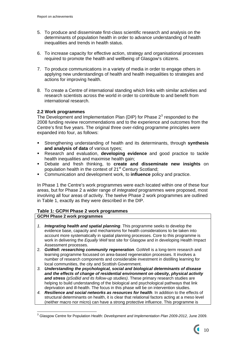- 5. To produce and disseminate first-class scientific research and analysis on the determinants of population health in order to advance understanding of health inequalities and trends in health status.
- 6. To increase capacity for effective action, strategy and organisational processes required to promote the health and wellbeing of Glasgow's citizens.
- 7. To produce communications in a variety of media in order to engage others in applying new understandings of health and health inequalities to strategies and actions for improving health.
- 8. To create a Centre of international standing which links with similar activities and research scientists across the world in order to contribute to and benefit from international research.

## **2.2 Work programmes**

The Development and Implementation Plan (DIP) for Phase  $2<sup>3</sup>$  $2<sup>3</sup>$  $2<sup>3</sup>$  responded to the 2008 funding review recommendations and to the experience and outcomes from the Centre's first five years. The original three over-riding programme principles were expanded into four, as follows:

- Strengthening understanding of health and its determinants, through **synthesis and analysis of data** of various types;
- Research and evaluation, **developing evidence** and good practice to tackle health inequalities and maximise health gain;
- Debate and fresh thinking, to **create and disseminate new insights** on population health in the context of 21<sup>st</sup> Century Scotland;
- Communication and development work, to **influence** policy and practice.

In Phase 1 the Centre's work programmes were each located within one of these four areas, but for Phase 2 a wider range of *integrated* programmes were proposed, most involving all four areas of activity. The twelve Phase 2 work programmes are outlined in Table 1, exactly as they were described in the DIP.

# **Table 1: GCPH Phase 2 work programmes**

#### **GCPH Phase 2 work programmes**

- *1. Integrating health and spatial planning*. This programme seeks to develop the evidence base, capacity and mechanisms for health considerations to be taken into account more systematically in spatial planning processes. Core to this programme is work in delivering the *Equally Well* test site for Glasgow and in developing Health Impact Assessment processes.
- 2. *GoWell: researching community regeneration*. GoWell is a long-term research and learning programme focussed on area-based regeneration processes. It involves a number of research components and considerable investment in distilling learning for local communities, the city and Scottish Government.
- *3. Understanding the psychological, social and biological determinants of disease and the effects of change of residential environment on obesity, physical activity and stress (pSoBid and its follow-up studies)*. These primary research studies are helping to build understanding of the biological and psychological pathways that link deprivation and ill-health. The focus in this phase will be on intervention studies.
- *4. Resilience and social networks as resources for health*. In addition to the effects of structural determinants on health, it is clear that relational factors acting at a meso level (neither macro nor micro) can have a strong protective influence. This programme is

<span id="page-10-0"></span><sup>1</sup> 3 Glasgow Centre for Population Health: *Development and Implementation Plan 2009-2012,* June 2009.

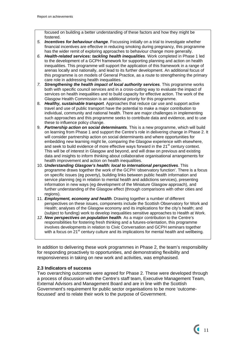focused on building a better understanding of these factors and how they might be fostered.

- *5. Incentives for behaviour change*. Focussing initially on a trial to investigate whether financial incentives are effective in reducing smoking during pregnancy, this programme has the wider remit of exploring approaches to behaviour change more generally.
- *6. Health-related services: tackling health inequalities.* Work completed in Phase 1 led to the development of a GCPH framework for supporting planning and action on health inequalities. This programme will support the application of this framework in a range of arenas locally and nationally, and lead to its further development. An additional focus of this programme is on models of General Practice, as a route to strengthening the primary care role in addressing health inequalities.
- *7. Strengthening the health impact of local authority services.* This programme works both with specific council services and in a cross-cutting way to evaluate the impact of services on health inequalities and to build capacity for effective action. The work of the Glasgow Health Commission is an additional priority for this programme.
- 8. *Healthy, sustainable transport.* Approaches that reduce car use and support active travel and use of public transport have the potential to make a major contribution to individual, community and national health. There are major challenges in implementing such approaches and this programme seeks to contribute data and evidence, and to use these to influence policy change.
- 9. *Partnership action on social determinants.* This is a new programme, which will build on learning from Phase 1 and support the Centre's role in delivering change in Phase 2. It will consider partnership action on social determinants and where opportunities for embedding new learning might lie, comparing the Glasgow experience with elsewhere, and seek to build evidence of more effective ways forward in the  $21<sup>st</sup>$  century context. This will be of interest in Glasgow and beyond, and will draw on previous and existing data and insights to inform thinking about collaborative organisational arrangements for health improvement and action on health inequalities.
- 10. *Understanding Glasgow's health: local to international perspectives*. This programme draws together the work of the GCPH 'observatory function'. There is a focus on specific issues (eg poverty), building links between public health information and service planning (eg in relation to mental health and addictions services), presenting information in new ways (eg development of the Miniature Glasgow approach), and further understanding of the Glasgow effect (through comparisons with other cities and regions).
- 11. *Employment, economy and health.* Drawing together a number of different perspectives on these issues, components include the Scottish Observatory for Work and Health; analyses of the Glasgow economy and its implications for the city's health; and (subject to funding) work to develop inequalities sensitive approaches to Health at Work.
- *12. New perspectives on population health.* As a major contribution to the Centre's responsibilities for fostering fresh thinking and a futures-orientation, this programme involves developments in relation to Civic Conversation and GCPH seminars together with a focus on 21<sup>st</sup> century culture and its implications for mental health and wellbeing.

In addition to delivering these work programmes in Phase 2, the team's responsibility for responding proactively to opportunities, and demonstrating flexibility and responsiveness in taking on new work and activities, was emphasised.

# **2.3 Indicators of success**

Two overarching outcomes were agreed for Phase 2. These were developed through a process of discussion with the Centre's staff team, Executive Management Team, External Advisors and Management Board and are in line with the Scottish Government's requirement for public sector organisations to be more 'outcomefocussed' and to relate their work to the purpose of Government.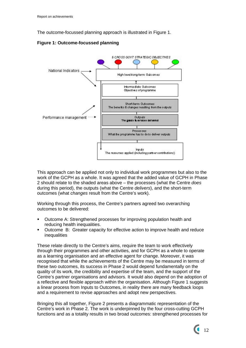The outcome-focussed planning approach is illustrated in Figure 1.

**Figure 1: Outcome-focussed planning** 



This approach can be applied not only to individual work programmes but also to the work of the GCPH as a whole. It was agreed that the added value of GCPH in Phase 2 should relate to the shaded areas above – the processes (what the Centre *does* during this period), the outputs (what the Centre *delivers*), and the short-term outcomes (what *changes* result from the Centre's work).

Working through this process, the Centre's partners agreed two overarching outcomes to be delivered:

- Outcome A: Strengthened processes for improving population health and reducing health inequalities.
- Outcome B: Greater capacity for effective action to improve health and reduce inequalities

These relate directly to the Centre's aims, require the team to work effectively through their programmes and other activities, and for GCPH as a whole to operate as a learning organisation and an effective agent for change. Moreover, it was recognised that while the achievements of the Centre may be measured in terms of these two outcomes, its success in Phase 2 would depend fundamentally on the quality of its work, the credibility and expertise of the team, and the support of the Centre's partner organisations and advisors. It would also depend on the adoption of a reflective and flexible approach within the organisation. Although Figure 1 suggests a linear process from Inputs to Outcomes, in reality there are many feedback loops and a requirement to revise approaches and adopt new perspectives.

Bringing this all together, Figure 2 presents a diagrammatic representation of the Centre's work in Phase 2. The work is underpinned by the four cross-cutting GCPH functions and as a totality results in two broad outcomes: strengthened processes for

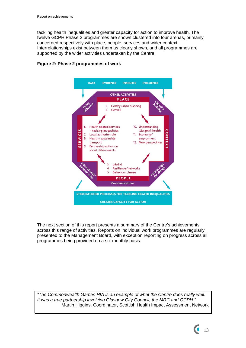tackling health inequalities and greater capacity for action to improve health. The twelve GCPH Phase 2 programmes are shown clustered into four arenas, primarily concerned respectively with place, people, services and wider context. Interrelationships exist between them as clearly shown, and all programmes are supported by the wider activities undertaken by the Centre.



# **Figure 2: Phase 2 programmes of work**

The next section of this report presents a summary of the Centre's achievements across this range of activities. Reports on individual work programmes are regularly presented to the Management Board, with exception reporting on progress across all programmes being provided on a six-monthly basis.

*"The Commonwealth Games HIA is an example of what the Centre does really well. It was a true partnership involving Glasgow City Council, the MRC and GCPH."*  Martin Higgins, Coordinator, Scottish Health Impact Assessment Network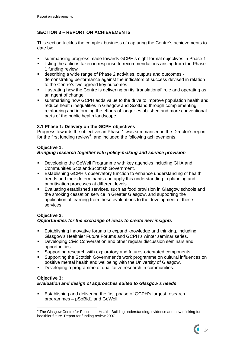# **SECTION 3 – REPORT ON ACHIEVEMENTS**

This section tackles the complex business of capturing the Centre's achievements to date by:

- summarising progress made towards GCPH's eight formal objectives in Phase 1
- listing the actions taken in response to recommendations arising from the Phase 1 funding review
- describing a wide range of Phase 2 activities, outputs and outcomes demonstrating performance against the indicators of success devised in relation to the Centre's two agreed key outcomes
- **EXED illustrating how the Centre is delivering on its 'translational' role and operating as** an agent of change
- summarising how GCPH adds value to the drive to improve population health and reduce health inequalities in Glasgow and Scotland through complementing, reinforcing and informing the efforts of longer-established and more conventional parts of the public health landscape.

# **3.1 Phase 1: Delivery on the GCPH objectives**

Progress towards the objectives in Phase 1 was summarised in the Director's report for the first funding review<sup>[4](#page-14-0)</sup>, and included the following achievements.

# **Objective 1:**

# *Bringing research together with policy-making and service provision*

- Developing the GoWell Programme with key agencies including GHA and Communities Scotland/Scottish Government.
- **Establishing GCPH's observatory function to enhance understanding of health** trends and their determinants and apply this understanding to planning and prioritisation processes at different levels.
- Evaluating established services, such as food provision in Glasgow schools and the smoking cessation service in Greater Glasgow, and supporting the application of learning from these evaluations to the development of these services.

# **Objective 2:**  *Opportunities for the exchange of ideas to create new insights*

- Establishing innovative forums to expand knowledge and thinking, including Glasgow's Healthier Future Forums and GCPH's winter seminar series.
- **Developing Civic Conversation and other regular discussion seminars and** opportunities.
- Supporting research with exploratory and futures-orientated components.
- Supporting the Scottish Government's work programme on cultural influences on positive mental health and wellbeing with the University of Glasgow.
- Developing a programme of qualitative research in communities.

# **Objective 3:**  *Evaluation and design of approaches suited to Glasgow's needs*

 Establishing and delivering the first phase of GCPH's largest research programmes – pSoBid1 and GoWell.

<span id="page-14-0"></span> 4 The Glasgow Centre for Population Health: Building understanding, evidence and new thinking for a healthier future. Report for funding review 2007.

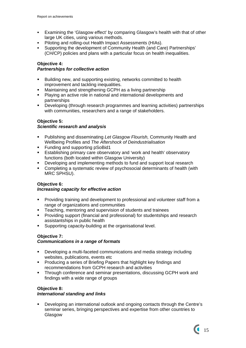- Examining the 'Glasgow effect' by comparing Glasgow's health with that of other large UK cities, using various methods.
- Piloting and rolling-out Health Impact Assessments (HIAs).
- Supporting the development of Community Health (and Care) Partnerships' (CH/CP) policies and plans with a particular focus on health inequalities.

# **Objective 4:**

# *Partnerships for collective action*

- Building new, and supporting existing, networks committed to health improvement and tackling inequalities.
- Maintaining and strengthening GCPH as a living partnership
- Playing an active role in national and international developments and partnerships
- Developing (through research programmes and learning activities) partnerships with communities, researchers and a range of stakeholders.

# **Objective 5:**

# *Scientific research and analysis*

- Publishing and disseminating *Let Glasgow Flourish,* Community Health and Wellbeing Profiles and *The Aftershock of Deindustrialisation*
- **Funding and supporting pSoBid1**
- **Establishing primary care observatory and 'work and health' observatory** functions (both located within Glasgow University)
- Developing and implementing methods to fund and support local research
- Completing a systematic review of psychosocial determinants of health (with MRC SPHSU).

# **Objective 6:**

# *Increasing capacity for effective action*

- Providing training and development to professional and volunteer staff from a range of organizations and communities
- **Teaching, mentoring and supervision of students and trainees**
- **Providing support (financial and professional) for studentships and research** assistantships in public health
- Supporting capacity-building at the organisational level.

# **Objective 7:**

# *Communications in a range of formats*

- Developing a multi-faceted communications and media strategy including websites, publications, events etc
- **Producing a series of Briefing Papers that highlight key findings and** recommendations from GCPH research and activities
- Through conference and seminar presentations, discussing GCPH work and findings with a wide range of groups

# **Objective 8:**

# *International standing and links*

 Developing an international outlook and ongoing contacts through the Centre's seminar series, bringing perspectives and expertise from other countries to Glasgow

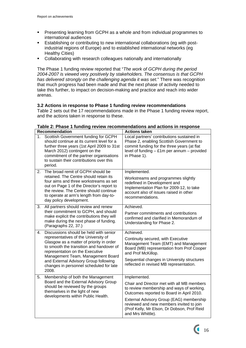- **Presenting learning from GCPH as a whole and from individual programmes to** international audiences
- Establishing or contributing to new international collaborations (eg with postindustrial regions of Europe) and to established international networks (eg Healthy Cities)
- Collaborating with research colleagues nationally and internationally

The Phase 1 funding review reported that "*The work of GCPH during the period 2004-2007 is viewed very positively by stakeholders. The consensus is that GCPH has delivered strongly on the challenging agenda it was set.*" There was recognition that much progress had been made and that the next phase of activity needed to take this further, to impact on decision-making and practice and reach into wider arenas.

# **3.2 Actions in response to Phase 1 funding review recommendations**

Table 2 sets out the 17 recommendations made in the Phase 1 funding review report, and the actions taken in response to these.

|    | <b>Recommendation</b>                                                                                                                                                                                                                                                                                                                       | <b>Actions taken</b>                                                                                                                                                                                                                                                                                             |  |
|----|---------------------------------------------------------------------------------------------------------------------------------------------------------------------------------------------------------------------------------------------------------------------------------------------------------------------------------------------|------------------------------------------------------------------------------------------------------------------------------------------------------------------------------------------------------------------------------------------------------------------------------------------------------------------|--|
| 1. | Scottish Government funding for GCPH<br>should continue at its current level for a<br>further three years (1st April 2009 to 31st<br>March 2012) contingent on the<br>commitment of the partner organisations<br>to sustain their contributions over this<br>period.                                                                        | Local partners' contributions sustained in<br>Phase 2, enabling Scottish Government to<br>commit funding for the three years (at flat<br>level of funding $-$ £1m per annum $-$ provided<br>in Phase 1).                                                                                                         |  |
| 2. | The broad remit of GCPH should be<br>retained. The Centre should retain its<br>four aims and three workstreams as set<br>out on Page 1 of the Director's report to<br>the review. The Centre should continue<br>to operate at arm's length from day-to-<br>day policy development.                                                          | Implemented.<br>Workstreams and programmes slightly<br>redefined in Development and<br>Implementation Plan for 2009-12, to take<br>account also of issues raised in other<br>recommendations.                                                                                                                    |  |
| 3. | All partners should review and renew<br>their commitment to GCPH, and should<br>make explicit the contributions they will<br>make during the next phase of funding.<br>(Paragraphs 22, 37.)                                                                                                                                                 | Achieved.<br>Partner commitments and contributions<br>confirmed and clarified in Memorandum of<br>Understanding for Phase 2.                                                                                                                                                                                     |  |
| 4. | Discussions should be held with senior<br>representatives of the University of<br>Glasgow as a matter of priority in order<br>to smooth the transition and handover of<br>representation on the Executive<br>Management Team, Management Board<br>and External Advisory Group following<br>changes in personnel scheduled for late<br>2008. | Achieved.<br>Continuity secured, with Executive<br>Management Team (EMT) and Management<br>Board (MB) representation from Prof Cooper<br>and Prof McKillop.<br>Sequential changes in University structures<br>reflected in revised MB representation.                                                            |  |
| 5. | Membership of both the Management<br>Board and the External Advisory Group<br>should be reviewed by the groups<br>themselves in the light of new<br>developments within Public Health.                                                                                                                                                      | Implemented.<br>Chair and Director met with all MB members<br>to review membership and ways of working.<br>Outcomes reported to Board in April 2010.<br>External Advisory Group (EAG) membership<br>reviewed and new members invited to join<br>(Prof Kelly, Mr Elson, Dr Dobson, Prof Reid<br>and Mrs Whittle). |  |

#### **Table 2: Phase 1 funding review recommendations and actions in response**

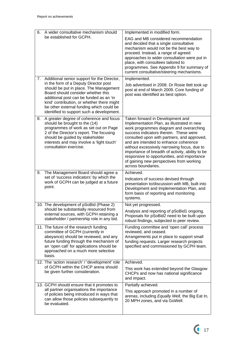| 6.                                                                                                                                                                                                                                                                            | A wider consultative mechanism should                                                                                                                                                                                                                                                                                                                  | Implemented in modified form.                                                                                                                                                                                                                                                                                                                                                                                                                                                   |  |
|-------------------------------------------------------------------------------------------------------------------------------------------------------------------------------------------------------------------------------------------------------------------------------|--------------------------------------------------------------------------------------------------------------------------------------------------------------------------------------------------------------------------------------------------------------------------------------------------------------------------------------------------------|---------------------------------------------------------------------------------------------------------------------------------------------------------------------------------------------------------------------------------------------------------------------------------------------------------------------------------------------------------------------------------------------------------------------------------------------------------------------------------|--|
|                                                                                                                                                                                                                                                                               | be established for GCPH.                                                                                                                                                                                                                                                                                                                               | EAG and MB considered recommendation<br>and decided that a single consultative<br>mechanism would not be the best way to<br>proceed. Instead, a range of agreed<br>approaches to wider consultation were put in<br>place, with consultees tailored to<br>programmes. See Appendix 9 for summary of<br>current consultative/steering mechanisms.                                                                                                                                 |  |
| 7.                                                                                                                                                                                                                                                                            | Additional senior support for the Director,<br>in the form of a Deputy Director post<br>should be put in place. The Management<br>Board should consider whether this<br>additional post can be funded as an 'in<br>kind' contribution, or whether there might<br>be other external funding which could be<br>identified to support such a development. | Implemented.<br>Job advertised in 2008. Dr Rosie Ilett took up<br>post at end of March 2009. Core funding of<br>post was identified as best option.                                                                                                                                                                                                                                                                                                                             |  |
| A greater degree of coherence and focus<br>8.<br>should be brought to the (14)<br>programmes of work as set out on Page<br>2 of the Director's report. The focusing<br>should be guided by stakeholder<br>interests and may involve a 'light touch'<br>consultation exercise. |                                                                                                                                                                                                                                                                                                                                                        | Taken forward in Development and<br>Implementation Plan, as illustrated in new<br>work programmes diagram and overarching<br>success indicators therein. These were<br>consulted upon with partners, and approved,<br>and are intended to enhance coherence<br>without excessively narrowing focus, due to<br>importance of breadth of activity, ability to be<br>responsive to opportunities, and importance<br>of gaining new perspectives from working<br>across boundaries. |  |
| 9.                                                                                                                                                                                                                                                                            | The Management Board should agree a<br>set of 'success indicators' by which the<br>work of GCPH can be judged at a future<br>point.                                                                                                                                                                                                                    | Achieved.<br>Indicators of success devised through<br>presentation to/discussion with MB, built into<br>Development and Implementation Plan, and<br>form basis of reporting and monitoring<br>systems.                                                                                                                                                                                                                                                                          |  |
|                                                                                                                                                                                                                                                                               | 10. The development of pSoBid (Phase 2)<br>should be substantially resourced from<br>external sources, with GCPH retaining a<br>stakeholder / partnership role in any bid.                                                                                                                                                                             | Not yet progressed.<br>Analysis and reporting of pSoBid1 ongoing.<br>Proposals for pSoBid2 need to be built upon<br>robust findings, subjected to peer review.                                                                                                                                                                                                                                                                                                                  |  |
|                                                                                                                                                                                                                                                                               | 11. The future of the research funding<br>committee of GCPH (currently in<br>abeyance) should be reviewed, and any<br>future funding through the mechanism of<br>an 'open call' for applications should be<br>approached on a much more selective<br>basis.                                                                                            | Funding committee and 'open call' process<br>reviewed, and ceased.<br>Arrangements put in place to support small<br>funding requests. Larger research projects<br>specified and commissioned by GCPH team.                                                                                                                                                                                                                                                                      |  |
|                                                                                                                                                                                                                                                                               | 12. The 'action research' / 'development' role<br>of GCPH within the CHCP arena should<br>be given further consideration.                                                                                                                                                                                                                              | Achieved.<br>This work has extended beyond the Glasgow<br>CHCPs and now has national significance<br>and impact.                                                                                                                                                                                                                                                                                                                                                                |  |
|                                                                                                                                                                                                                                                                               | 13. GCPH should ensure that it promotes to<br>all partner organisations the importance<br>of policies being introduced in ways that<br>can allow those policies subsequently to<br>be evaluated.                                                                                                                                                       | Partially achieved.<br>This approach promoted in a number of<br>arenas, including Equally Well, the Big Eat In,<br>20 MPH zones, and via GoWell.                                                                                                                                                                                                                                                                                                                                |  |

 $\sim$  17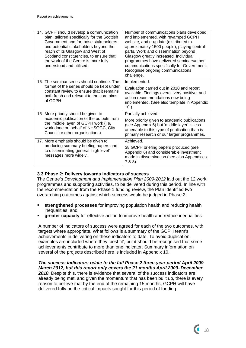| 14. GCPH should develop a communication<br>plan, tailored specifically for the Scottish<br>Government and for those stakeholders<br>and potential stakeholders beyond the<br>reach of its Glasgow and West of<br>Scotland constituencies, to ensure that<br>the work of the Centre is more fully<br>understood and utilised. | Number of communications plans developed<br>and implemented, with revamped GCPH<br>website, and e-update (distributed to<br>approximately 1500 people), playing central<br>parts. Work and dissemination beyond<br>Glasgow greatly increased. Individual<br>programmes have delivered seminars/other<br>communications specifically for Government.<br>Recognise ongoing communications<br>challenge. |
|------------------------------------------------------------------------------------------------------------------------------------------------------------------------------------------------------------------------------------------------------------------------------------------------------------------------------|-------------------------------------------------------------------------------------------------------------------------------------------------------------------------------------------------------------------------------------------------------------------------------------------------------------------------------------------------------------------------------------------------------|
| 15. The seminar series should continue. The<br>format of the series should be kept under<br>constant review to ensure that it remains<br>both fresh and relevant to the core aims<br>of GCPH.                                                                                                                                | Implemented.<br>Evaluation carried out in 2010 and report<br>available. Findings overall very positive, and<br>action recommendations now being<br>implemented. (See also template in Appendix<br>$10.$ )                                                                                                                                                                                             |
| 16. More priority should be given to<br>academic publication of the outputs from<br>the 'middle layer' of GCPH work (i.e.<br>work done on behalf of NHSGGC, City<br>Council or other organisations).                                                                                                                         | Partially achieved.<br>More priority given to academic publications<br>(see Appendix 6) but 'middle layer' is less<br>amenable to this type of publication than is<br>primary research or our larger programmes.                                                                                                                                                                                      |
| 17. More emphasis should be given to<br>producing summary briefing papers and<br>to disseminating general 'high level'<br>messages more widely.                                                                                                                                                                              | Achieved<br>38 GCPH briefing papers produced (see<br>Appendix 6) and considerable investment<br>made in dissemination (see also Appendices<br>7 & 8).                                                                                                                                                                                                                                                 |

#### **3.3 Phase 2: Delivery towards indicators of success**

The Centre's *Development and Implementation Plan 2009*-*2012* laid out the 12 work programmes and supporting activities, to be delivered during this period. In line with the recommendation from the Phase 1 funding review, the Plan identified two overarching outcomes against which success would be judged in Phase 2:

- **strengthened processes** for improving population health and reducing health inequalities, and
- **greater capacity** for effective action to improve health and reduce inequalities.

A number of indicators of success were agreed for each of the two outcomes, with targets where appropriate. What follows is a summary of the GCPH team's achievements in delivering on these indicators to date. To avoid duplication, examples are included where they 'best fit', but it should be recognised that some achievements contribute to more than one indicator. Summary information on several of the projects described here is included in Appendix 10.

*The success indicators relate to the full Phase 2 three-year period April 2009– March 2012, but this report only covers the 21 months April 2009–December 2010.* Despite this, there is evidence that several of the success indicators are already being met; and given the momentum that has been built up, there is every reason to believe that by the end of the remaining 15 months, GCPH will have delivered fully on the critical impacts sought for this period of funding.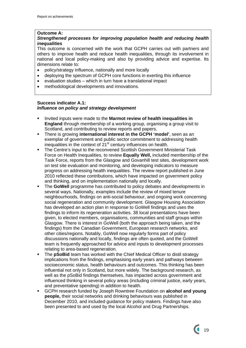## **Outcome A:**

# *Strengthened processes for improving population health and reducing health inequalities*

This outcome is concerned with the work that GCPH carries out with partners and others to improve health and reduce health inequalities, through its involvement in national and local policy-making and also by providing advice and expertise. Its dimensions relate to:

- policy/strategy influence, nationally and more locally
- deploying the spectrum of GCPH core functions in exerting this influence
- evaluation studies which in turn have a translational impact
- methodological developments and innovations.

#### **Success indicator A.1:**  *Influence on policy and strategy development*

- Invited inputs were made to the **Marmot review of health inequalities in England** through membership of a working group, organising a group visit to Scotland, and contributing to review reports and papers.
- There is growing **international interest in the GCPH 'model'**, seen as an exemplar of government and public sector commitment to addressing health inequalities in the context of 21<sup>st</sup> century influences on health.
- The Centre's input to the reconvened Scottish Government Ministerial Task Force on Health Inequalities, to review **Equally Well,** included membership of the Task Force, reports from the Glasgow and Govanhill test sites, development work on test site evaluation and monitoring, and developing indicators to measure progress on addressing health inequalities. The review report published in June 2010 reflected these contributions, which have impacted on government policy and thinking, and on implementation nationally and locally.
- The **GoWell** programme has contributed to policy debates and developments in several ways. Nationally, examples include the review of mixed tenure neighbourhoods, findings on anti-social behaviour, and ongoing work concerning social regeneration and community development. Glasgow Housing Association has developed an action plan in response to GoWell findings and uses the findings to inform its regeneration activities. 38 local presentations have been given, to elected members, organisations, communities and staff groups within Glasgow. There is interest in GoWell (both the approach being taken, and the findings) from the Canadian Government, European research networks, and other cities/regions. Notably, GoWell now regularly forms part of policy discussions nationally and locally, findings are often quoted, and the GoWell team is frequently approached for advice and inputs to development processes relating to area-based regeneration.
- The **pSoBid** team has worked with the Chief Medical Officer to distil strategy implications from the findings, emphasising early years and pathways between socioeconomic status, health behaviours and outcomes. This thinking has been influential not only in Scotland, but more widely. The background research, as well as the pSoBid findings themselves, has impacted across government and influenced thinking in several policy areas (including criminal justice, early years, and preventative spending) in addition to health.
- GCPH research funded by Joseph Rowntree Foundation on **alcohol and young people,** their social networks and drinking behaviours was published in December 2010, and included guidance for policy makers. Findings have also been presented to and used by the local Alcohol and Drug Partnerships.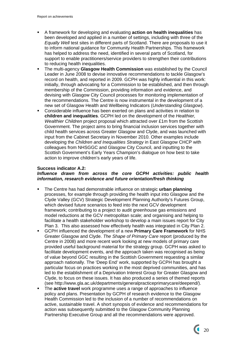- A framework for developing and evaluating **action on health inequalities** has been developed and applied in a number of settings, including with three of the *Equally Well* test sites in different parts of Scotland. There are proposals to use it to inform national guidance for Community Health Partnerships. This framework has helped to address the need, identified in several parts of Scotland, for support to enable practitioners/service providers to strengthen their contributions to reducing health inequalities.
- The multi-agency **Glasgow Health Commission** was established by the Council Leader in June 2008 to devise innovative recommendations to tackle Glasgow's record on health, and reported in 2009. GCPH was highly influential in this work: initially, through advocating for a Commission to be established, and then through membership of the Commission, providing information and evidence, and devising with Glasgow City Council processes for monitoring implementation of the recommendations. The Centre is now instrumental in the development of a new set of Glasgow Health and Wellbeing Indicators (*Understanding Glasgow*).
- Considerable influence has been exerted on plans and activities in relation to **children and inequalities**. GCPH led on the development of the *Healthier, Wealthier Children* project proposal which attracted over £1m from the Scottish Government. The project aims to bring financial inclusion services together with child health services across Greater Glasgow and Clyde, and was launched with input from the Cabinet Secretary in November 2010. Other examples include developing the *Children and Inequalities Strategy* in East Glasgow CHCP with colleagues from NHSGGC and Glasgow City Council, and inputting to the Scottish Government's Early Years Champion's dialogue on how best to take action to improve children's early years of life.

# **Success indicator A.2:**

# *Influence drawn from across the core GCPH activities: public health information, research evidence and future orientation/fresh thinking*

- The Centre has had demonstrable influence on strategic **urban planning** processes, for example through providing the health input into Glasgow and the Clyde Valley (GCV) Strategic Development Planning Authority's Futures Group, which devised future scenarios to feed into the next GCV development framework; contributing to a project to audit greenhouse gas emissions and model reductions at the GCV metropolitan scale; and organising and helping to facilitate a health stakeholder workshop to develop a main issues report for City Plan 3. This also assessed how effectively health was integrated in City Plan 2.
- GCPH influenced the development of a new **Primary Care Framework** for NHS Greater Glasgow and Clyde. *The Shape of Primary Care* report (produced by the Centre in 2008) and more recent work looking at new models of primary care provided useful background material for the strategy group. GCPH was asked to facilitate development events, and the approach taken was recognised as being of value beyond GGC resulting in the Scottish Government requesting a similar approach nationally. The 'Deep End' work, supported by GCPH has brought a particular focus on practices working in the most deprived communities, and has led to the establishment of a Deprivation Interest Group for Greater Glasgow and Clyde, to focus on these issues. It has also produced a series of themed reports (see http://www.gla.ac.uk/departments/generalpracticeprimarycare/deepend/).
- The **active travel** work programme uses a range of approaches to influence policy and plans. Presentation by GCPH of research evidence to the Glasgow Health Commission led to the inclusion of a number of recommendations on active, sustainable travel. A short synopsis of evidence and recommendations for action was subsequently submitted to the Glasgow Community Planning Partnership Executive Group and all the recommendations were approved.

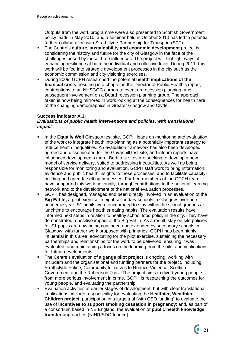Outputs from the work programme were also presented to Scottish Government policy leads in May 2010; and a seminar held in October 2010 has led to potential further collaboration with Strathclyde Partnership for Transport (SPT).

- The Centre's **culture, sustainability and economic development** project is considering the history and future for the city of Glasgow in the face of the challenges posed by these three influences. The project will highlight ways of enhancing resilience at both the individual and collective level. During 2011, this work will be fed into strategic development processes in the city such as the economic commission and city visioning exercises.
- During 2009, GCPH researched the potential **health implications of the financial crisis**, resulting in a chapter in the Director of Public Health's report, contributions to an NHSGGC corporate event on recession planning, and subsequent involvement on a Board recession planning group. The approach taken is now being mirrored in work looking at the consequences for health care of the changing demographics in Greater Glasgow and Clyde.

## **Success indicator A.3:**

## *Evaluations of public health interventions and policies, with translational impact*

- **ID In the Equally Well** Glasgow test site, GCPH leads on monitoring and evaluation of the work to integrate health into planning as a potentially important strategy to reduce health inequalities. An evaluation framework has also been developed, agreed and disseminated for the Govanhill test site, and interim reports have influenced developments there. Both test sites are seeking to develop a new model of service delivery, suited to addressing inequalities. As well as being responsible for monitoring and evaluation, GCPH staff work to bring information, evidence and public health insights to these processes, and to facilitate capacitybuilding and agenda-setting processes. Further, members of the GCPH team have supported this work nationally, through contributions to the national learning network and to the development of the national evaluation processes.
- GCPH has designed, managed and been directly involved in an evaluation of the **Big Eat In,** a pilot exercise in eight secondary schools in Glasgow: over one academic year, S1 pupils were encouraged to stay within the school grounds at lunchtime to encourage healthier eating habits. The evaluation results have informed next steps in relation to healthy school food policy in the city. They have demonstrated a positive impact of the Big Eat In. As a result, stay on site policies for S1 pupils are now being continued and extended by secondary schools in Glasgow, with further work proposed with primaries. GCPH has been highly influential in this area: advocating for the pilot exercise, sustaining the necessary partnerships and relationships for the work to be delivered, ensuring it was evaluated, and maintaining a focus on the learning from the pilot and implications for future developments.
- The Centre's evaluation of a **gangs pilot project** is ongoing, working with Includem and the organisational and funding partners for the project, including Strathclyde Police, Community Initiatives to Reduce Violence, Scottish Government and the Robertson Trust. The project aims to divert young people from more serious involvement in crime. GCPH is researching the outcomes for young people, and evaluating the partnership.
- Evaluation activities at earlier stages of development, but with clear translational implications, include responsibility for evaluating the **Healthier, Wealthier Children project**; participation in a large trial (with CSO funding) to evaluate the use of **incentives to support smoking cessation in pregnancy**; and, as part of a consortium based in NE England, the evaluation of **public health knowledge transfer** approaches (NIHR/SDO funded).

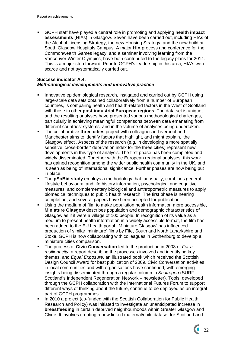GCPH staff have played a central role in promoting and applying **health impact assessments** (HIAs) in Glasgow. Seven have been carried out, including HIAs of the Alcohol Licensing Strategy, the new Housing Strategy, and the new build at South Glasgow Hospitals Campus. A major HIA process and conference for the Commonwealth Games legacy, and a seminar involving learning from the Vancouver Winter Olympics, have both contributed to the legacy plans for 2014. This is a major step forward. Prior to GCPH's leadership in this area, HIA's were scarce and not systematically carried out.

#### **Success indicator A.4:**  *Methodological developments and innovative practice*

- **Innovative epidemiological research, instigated and carried out by GCPH using** large-scale data sets obtained collaboratively from a number of European countries, is comparing health and health-related factors in the West of Scotland with those in other **post-industrial European regions**. The data set is unique; and the resulting analyses have presented various methodological challenges, particularly in achieving meaningful comparisons between data emanating from different countries' systems, and in the volume of analyses being undertaken.
- The collaborative **three cities** project with colleagues in Liverpool and Manchester aims to identify factors that highlight, and might explain, 'the Glasgow effect'. Aspects of the research (e.g. in developing a more spatially sensitive 'cross-border' deprivation index for the three cities) represent new developments in this type of analysis. The first phase has been completed and widely disseminated. Together with the European regional analyses, this work has gained recognition among the wider public health community in the UK, and is seen as being of international significance. Further phases are now being put in place.
- The **pSoBid study** employs a methodology that, unusually, combines general lifestyle behavioural and life history information, psychological and cognitive measures, and complementary biological and anthropometric measures to apply biomedical techniques to public health research. The first phase is nearing completion, and several papers have been accepted for publication.
- Using the medium of film to make population health information more accessible, **Miniature Glasgow** describes population and demographic characteristics of Glasgow as if it were a village of 100 people. In recognition of its value as a medium to present health information in a widely accessible format, the film has been added to the EU health portal. 'Miniature Glasgow' has influenced production of similar 'miniature' films by Fife, South and North Lanarkshire and Stoke. GCPH is now collaborating with colleagues in Gothenburg to develop a miniature cities comparison.
- The process of **Civic Conversation** led to the production in 2008 of *For a resilient city*, a report describing the processes involved and identifying key themes, and *Equal Exposure,* an illustrated book which received the Scottish Design Council Award for best publication of 2009. Civic Conversation activities in local communities and with organisations have continued, with emerging insights being disseminated through a regular column in *Scotregen* (SURF – Scotland's Independent Regeneration Network – newsletter)*.* Tools, developed through the GCPH collaboration with the International Futures Forum to support different ways of thinking about the future, continue to be deployed as an integral part of GCPH programmes.
- In 2010 a project (co-funded with the Scottish Collaboration for Public Health Research and Policy) was initiated to investigate an unanticipated increase in **breastfeeding** in certain deprived neighbourhoods within Greater Glasgow and Clyde. It involves creating a new linked maternal/child dataset for Scotland and

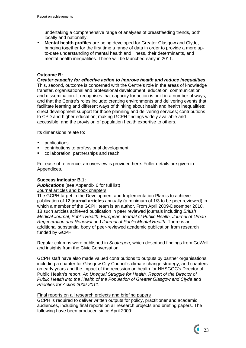undertaking a comprehensive range of analyses of breastfeeding trends, both locally and nationally.

**Mental health profiles** are being developed for Greater Glasgow and Clyde, bringing together for the first time a range of data in order to provide a more upto-date understanding of mental health and illness, their determinants, and mental health inequalities. These will be launched early in 2011.

## **Outcome B:**

*Greater capacity for effective action to improve health and reduce inequalities*  This, second, outcome is concerned with the Centre's role in the areas of knowledge transfer, organisational and professional development, education, communication and dissemination. It recognises that capacity for action is built in a number of ways, and that the Centre's roles include: creating environments and delivering events that facilitate learning and different ways of thinking about health and health inequalities; direct development support for those planning and delivering services; contributions to CPD and higher education; making GCPH findings widely available and accessible; and the provision of population health expertise to others.

Its dimensions relate to:

- **•** publications
- **EXECONTRIBUTIONS TO PROTECT CONTRIBUTION**
- collaboration, partnerships and reach.

For ease of reference, an overview is provided here. Fuller details are given in Appendices.

# **Success indicator B.1:**

**Publications** (see Appendix 6 for full list) Journal articles and book chapters

The GCPH target in the Development and Implementation Plan is to achieve publication of 12 **journal articles** annually (a minimum of 1/3 to be peer reviewed) in which a member of the GCPH team is an author. From April 2009-December 2010, 18 such articles achieved publication in peer reviewed journals including *British Medical Journal, Public Health*, *European Journal of Public Health, Journal of Urban Regeneration and Renewal* and *Journal of Public Mental Health*. There is an additional substantial body of peer-reviewed academic publication from research funded by GCPH.

Regular columns were published in *Scotregen*, which described findings from GoWell and insights from the Civic Conversation.

GCPH staff have also made valued contributions to outputs by partner organisations, including a chapter for Glasgow City Council's climate change strategy, and chapters on early years and the impact of the recession on health for NHSGGC's Director of Public Health's report: *An Unequal Struggle for Health. Report of the Director of Public Health into the Health of the Population of Greater Glasgow and Clyde and Priorities for Action 2009*-*2011.* 

#### Final reports on all research projects and briefing papers

GCPH is required to deliver written outputs for policy, practitioner and academic audiences, including final reports on all research projects and briefing papers. The following have been produced since April 2009: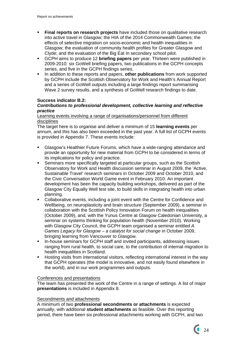- **Final reports on research projects** have included those on qualitative research into active travel in Glasgow; the HIA of the 2014 Commonwealth Games; the effects of selective migration on socio-economic and health inequalities in Glasgow; the evaluation of community health profiles for Greater Glasgow and Clyde; and the evaluation of the Big Eat In secondary school pilot.
- GCPH aims to produce 12 **briefing papers** per year. Thirteen were published in 2009-2010: six GoWell briefing papers, two publications in the GCPH concepts series, and five in the GCPH findings series.
- In addition to these reports and papers, **other publications** from work supported by GCPH include the Scottish Observatory for Work and Health's Annual Report and a series of GoWell outputs including a large findings report summarising Wave 2 survey results, and a synthesis of GoWell research findings to date.

## **Success indicator B.2:**

## *Contributions to professional development, collective learning and reflective practice*

#### Learning events involving a range of organisations/personnel from different disciplines

The target here is to organise and deliver a minimum of 15 **learning events** per annum, and this has also been exceeded in the past year. A full list of GCPH events is provided in Appendix 7. These events include:

- Glasgow's Healthier Future Forums, which have a wide-ranging attendance and provide an opportunity for new material from GCPH to be considered in terms of its implications for policy and practice.
- Seminars more specifically targeted at particular groups, such as the Scottish Observatory for Work and Health discussion seminar in August 2009, the 'Active, Sustainable Travel' research seminars in October 2009 and October 2010, and the Civic Conversation World Game event in February 2010. An important development has been the capacity building workshops, delivered as part of the Glasgow City Equally Well test site, to build skills in integrating health into urban planning.
- Collaborative events, including a joint event with the Centre for Confidence and Wellbeing, on neuroplasticity and brain structure (September 2009), a seminar in collaboration with the Scottish Policy Innovation Forum on health inequalities (October 2009), and, with the Yunus Centre at Glasgow Caledonian University, a seminar on systems thinking for population health (November 2010). Working with Glasgow City Council, the GCPH team organised a seminar entitled *A Games Legacy for Glasgow – a catalyst for social change* in October 2009, bringing learning from Vancouver to Glasgow.
- In-house seminars for GCPH staff and invited participants, addressing issues ranging from rural health, to social care, to the contribution of internal migration to health inequalities in Scotland.
- Hosting visits from international visitors, reflecting international interest in the way that GCPH operates (the model is innovative, and not easily found elsewhere in the world), and in our work programmes and outputs.

#### Conferences and presentations

The team has presented the work of the Centre in a range of settings. A list of major **presentations** is included in Appendix 8.

#### Secondments and attachments

A minimum of two **professional secondments or attachments** is expected annually, with additional **student attachments** as feasible. Over this reporting period, there have been six professional attachments working with GCPH, and two

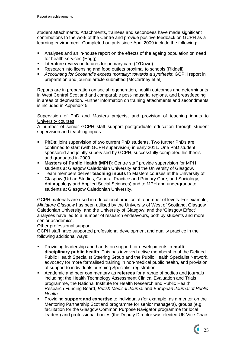student attachments. Attachments, trainees and secondees have made significant contributions to the work of the Centre and provide positive feedback on GCPH as a learning environment. Completed outputs since April 2009 include the following:

- Analyses and an in-house report on the effects of the ageing population on need for health services (Hogg)
- **EXECT** Literature review on futures for primary care (O'Dowd)
- **Research into licensing and food outlets proximal to schools (Riddell)**
- *Accounting for Scotland's excess mortality: towards a synthesis*; GCPH report in preparation and journal article submitted (McCartney et al)

Reports are in preparation on social regeneration, health outcomes and determinants in West Central Scotland and comparable post-industrial regions, and breastfeeding in areas of deprivation. Further information on training attachments and secondments is included in Appendix 5.

# Supervision of PhD and Masters projects, and provision of teaching inputs to University courses

A number of senior GCPH staff support postgraduate education through student supervision and teaching inputs.

- **PhDs:** joint supervision of two current PhD students. Two further PhDs are confirmed to start (with GCPH supervision) in early 2011. One PhD student, sponsored and jointly supervised by GCPH, successfully completed his thesis and graduated in 2009.
- **Masters of Public Health (MPH)**: Centre staff provide supervision for MPH students at Glasgow Caledonian University and the University of Glasgow.
- Team members deliver **teaching inputs** to Masters courses at the University of Glasgow (Urban Studies, General Practice and Primary Care, and Sociology, Anthropology and Applied Social Sciences) and to MPH and undergraduate students at Glasgow Caledonian University.

GCPH materials are used in educational practice at a number of levels. For example, *Miniature Glasgow* has been utilised by the University of West of Scotland, Glasgow Caledonian University, and the University of Glasgow; and the 'Glasgow Effect' analyses have led to a number of research endeavours, both by students and more senior academics.

#### Other professional support

GCPH staff have supported professional development and quality practice in the following additional ways:

- Providing leadership and hands-on support for developments in **multidisciplinary public health**. This has involved active membership of the Defined Public Health Specialist Steering Group and the Public Health Specialist Network, advocacy for more formalised training in non-medical public health, and provision of support to individuals pursuing Specialist registration.
- Academic and peer commentary as **referees** for a range of bodies and journals including: the Health Technology Assessment Clinical Evaluation and Trials programme, the National Institute for Health Research and Public Health Research Funding Board, *British Medical Journal* and *European Journal of Public Health.*
- Providing **support and expertise** to individuals (for example, as a mentor on the Mentoring Partnership Scotland programme for senior managers), groups (e.g. facilitation for the Glasgow Common Purpose Navigator programme for local leaders) and professional bodies (the Deputy Director was elected UK Vice Chair

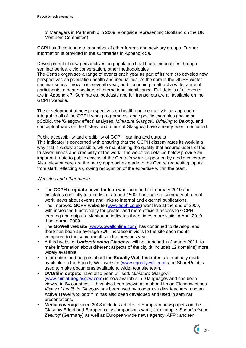of Managers in Partnership in 2009, alongside representing Scotland on the UK Members Committee).

GCPH staff contribute to a number of other forums and advisory groups. Further information is provided in the summaries in Appendix 5a.

## Development of new perspectives on population health and inequalities through seminar series, civic conversation, other methodologies

The Centre organises a range of events each year as part of its remit to develop new perspectives on population health and inequalities. At the core is the GCPH winter seminar series – now in its seventh year, and continuing to attract a wide range of participants to hear speakers of international significance. Full details of all events are in Appendix 7. Summaries, podcasts and full transcripts are all available on the GCPH website.

The development of new perspectives on health and inequality is an approach integral to all of the GCPH work programmes, and specific examples (including pSoBid, the 'Glasgow effect' analyses, *Miniature Glasgow, Drinking to Belong,* and conceptual work on the history and future of Glasgow) have already been mentioned.

#### Public accessibility and credibility of GCPH learning and outputs

This indicator is concerned with ensuring that the GCPH disseminates its work in a way that is widely accessible, while maintaining the quality that assures users of the trustworthiness and credibility of the work. The websites detailed below provide an important route to public access of the Centre's work, supported by media coverage. Also relevant here are the many approaches made to the Centre requesting inputs from staff, reflecting a growing recognition of the expertise within the team.

#### *Websites and other media*

- The **GCPH e-update news bulletin** was launched in February 2010 and circulates currently to an e-list of around 1500. It includes a summary of recent work, news about events and links to internal and external publications.
- The improved **GCPH website** [\(www.gcph.co.uk](http://www.gcph.co.uk/)) went live at the end of 2009, with increased functionality for greater and more efficient access to GCPH learning and outputs. Monitoring indicates three times more visits in April 2010 than in April 2009.
- The **GoWell website** [\(www.gowellonline.com](http://www.gowellonline.com/)) has continued to develop, and there has been an average 70% increase in visits to the site each month compared to the same months in the previous year.
- A third website, *Understanding Glasgow*, will be launched in January 2011, to make information about different aspects of the city (it includes 12 domains) more widely available.
- **Information and outputs about the Equally Well test sites are routinely made** available on the Equally Well website ([www.equallywell.com](http://www.equallywell.com/)) and SharePoint is used to make documents available to wider test site team.
- **DVD/film outputs** have also been utilised. *Miniature Glasgow* ([www.miniatureglasgow.com\)](http://www.miniatureglasgow.com/) is now available in 9 languages and has been viewed in 64 countries. It has also been shown as a short film on Glasgow buses. *Views of health in Glasgow* has been used by modern studies teachers, and an Active Travel 'vox pop' film has also been developed and used in seminar presentations.
- **Media coverage** since 2008 includes articles in European newspapers on the Glasgow Effect and European city comparisons work, for example '*Sueddeutsche Zeitung'* (Germany) as well as European-wide news agency 'AFP'; and ten

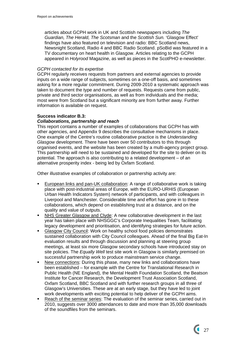articles about GCPH work in UK and Scottish newspapers including *The Guardian, The Herald, The Scotsman* and the *Scottish Sun.* 'Glasgow Effect' findings have also featured on television and radio: BBC Scotland news, Newsnight Scotland, Radio 4 and BBC Radio Scotland. pSoBid was featured in a TV documentary on heart health in Glasgow. Articles relating to the GCPH appeared in *Holyrood* Magazine, as well as pieces in the ScotPHO e-newsletter.

#### *GCPH contacted for its expertise*

GCPH regularly receives requests from partners and external agencies to provide inputs on a wide range of subjects, sometimes on a one-off basis, and sometimes asking for a more regular commitment. During 2009-2010 a systematic approach was taken to document the type and number of requests. Requests came from public, private and third sector organisations, as well as from individuals and the media; most were from Scotland but a significant minority are from further away. Further information is available on request.

## **Success indicator B.3:**

## *Collaborations, partnership and reach*

This report contains a number of examples of collaborations that GCPH has with other agencies, and Appendix 9 describes the consultative mechanisms in place. One example of the Centre's routine collaborative practice is the *Understanding Glasgow* development. There have been over 50 contributors to this through organised events, and the website has been created by a multi-agency project group. This partnership will need to be sustained and developed for the site to deliver on its potential. The approach is also contributing to a related development – of an alternative prosperity index - being led by Oxfam Scotland.

Other illustrative examples of collaboration or partnership activity are:

- European links and pan-UK collaboration: A range of collaborative work is taking place with post-industrial areas of Europe, with the EURO-URHIS (European Urban Health Indicators System) network of participants, and with colleagues in Liverpool and Manchester. Considerable time and effort has gone in to these collaborations, which depend on establishing trust at a distance, and on the quality and value of outputs.
- NHS Greater Glasgow and Clyde: A new collaborative development in the last year has taken place with NHSGGC's Corporate Inequalities Team, facilitating legacy development and prioritisation, and identifying strategies for future action.
- Glasgow City Council: Work on healthy school food policies demonstrates sustained collaboration with City Council colleagues. Ahead of the final Big Eat-In evaluation results and through discussion and planning at steering group meetings, at least six more Glasgow secondary schools have introduced stay on site policies. The *Equally Well* test site work in Glasgow is similarly premised on successful partnership work to produce mainstream service change.
- New connections: During this phase, many new links and collaborations have been established – for example with the Centre for Translational Research in Public Health (NE England), the Mental Health Foundation Scotland, the Beatson Institute for Cancer Research, the Development Trust Association Scotland, Oxfam Scotland, BBC Scotland and with further research groups in all three of Glasgow's Universities. These are at an early stage, but they have led to joint work developments with exciting potential to help deliver of the GCPH aims.
- Reach of the seminar series: The evaluation of the seminar series, carried out in 2010, suggests over 3000 attendances to date and more than 35,000 downloads of the soundfiles from the seminars.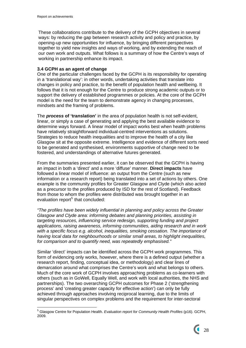These collaborations contribute to the delivery of the GCPH objectives in several ways: by reducing the gap between research activity and policy and practice, by opening-up new opportunities for influence, by bringing different perspectives together to yield new insights and ways of working, and by extending the reach of our own work and outputs. What follows is a summary of how the Centre's ways of working in partnership enhance its impact.

## **3.4 GCPH as an agent of change**

One of the particular challenges faced by the GCPH is its responsibility for operating in a 'translational way': in other words, undertaking activities that translate into changes in policy and practice, to the benefit of population health and wellbeing. It follows that it is not enough for the Centre to produce strong academic outputs or to support the delivery of established programmes or policies. At the core of the GCPH model is the need for the team to demonstrate agency in changing processes, mindsets and the framing of problems.

The *process* **of 'translation'** in the area of population health is not self-evident, linear, or simply a case of generating and applying the best available evidence to determine ways forward. A linear model of impact works best when health problems have relatively straightforward individual-centred interventions as solutions. Strategies to reduce health inequalities and to improve the health of a city like Glasgow sit at the opposite extreme. Intelligence and evidence of different sorts need to be generated and synthesised, environments supportive of change need to be fostered, and understandings of alternative futures generated.

From the summaries presented earlier, it can be observed that the GCPH is having an impact in both a 'direct' and a more 'diffuse' manner. **Direct impacts** have followed a linear model of influence: an output from the Centre (such as new information or a research report) being translated into a set of actions by others. One example is the community profiles for Greater Glasgow and Clyde (which also acted as a precursor to the profiles produced by ISD for the rest of Scotland). Feedback from those to whom the profiles were distributed was brought together in an evaluation report<sup>[5](#page-28-0)</sup> that concluded:

*"The profiles have been widely influential in planning and policy across the Greater Glasgow and Clyde area: informing debates and planning priorities, assisting in targeting resources, influencing service redesign, supporting funding and project applications, raising awareness, informing communities, aiding research and in work with a specific focus e.g. alcohol, inequalities, smoking cessation. The importance of having local data for neighbourhoods or similar small areas, to highlight inequalities, for comparison and to quantify need, was repeatedly emphasised."* 

Similar 'direct' impacts can be identified across the GCPH work programmes. This form of evidencing only works, however, where there is a defined output (whether a research report, finding, conceptual idea, or methodology) and clear lines of demarcation around what comprises the Centre's work and what belongs to others. Much of the core work of GCPH involves approaching problems as co-learners with others (such as in GoWell, Equally Well, and work with local authorities, the NHS and partnerships). The two overarching GCPH outcomes for Phase 2 ('strengthening process' and 'creating greater capacity for effective action') can only be fully achieved through approaches involving reciprocal learning, due to the limits of singular perspectives on complex problems and the requirement for inter-sectoral

<span id="page-28-0"></span> 5 Glasgow Centre for Population Health. *Evaluation report for Community Health Profiles* (p16). GCPH, 2009.

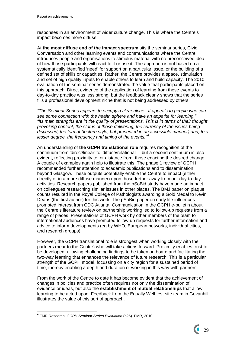responses in an environment of wider culture change. This is where the Centre's impact becomes more diffuse.

At **the most diffuse end of the impact spectrum** sits the seminar series, Civic Conversation and other learning events and communications where the Centre introduces people and organisations to stimulus material with no preconceived idea of how those participants will react to it or use it. The approach is not based on a systematically identified 'need' for support on a particular issue, or the building of a defined set of skills or capacities. Rather, the Centre provides a space, stimulation and set of high quality inputs to enable others to learn and build capacity. The 2010 evaluation of the seminar series demonstrated the value that participants placed on this approach. Direct evidence of the application of learning from these events to day-to-day practice was less strong, but the feedback clearly shows that the series fills a professional development niche that is not being addressed by others.

*"The Seminar Series appears to occupy a clear niche...It appeals to people who can see some connection with the health sphere and have an appetite for learning." "Its main strengths are in the quality of presentations. This is in terms of their thought provoking content, the status of those delivering, the currency of the issues being discussed, the format (lecture style, but presented in an accessible manner) and, to a lesser degree, the frequency and timing of the events."[6](#page-29-0)*

An understanding of **the GCPH translational role** requires recognition of the continuum from 'direct/linear' to 'diffuse/relational' – but a second continuum is also evident, reflecting proximity to, or distance from, those enacting the desired change. A couple of examples again help to illustrate this. The phase 1 review of GCPH recommended further attention to academic publications and to dissemination beyond Glasgow. These outputs potentially enable the Centre to impact (either directly or in a more diffuse manner) upon those further away from our day-to-day activities. Research papers published from the pSoBid study have made an impact on colleagues researching similar issues in other places. The BMJ paper on plaque counts resulted in the Royal College of Pathologists awarding a Gold Medal to Kevin Deans (the first author) for this work. The pSoBid paper on early life influences prompted interest from CDC Atlanta. Communication in the GCPH e-bulletin about the Centre's literature review on partnership working led to follow-up requests from a range of places. Presentations of GCPH work by other members of the team to international audiences have prompted follow-up requests for further information and advice to inform developments (eg by WHO, European networks, individual cities, and research groups).

However, the GCPH translational role is strongest when working closely with the partners (near to the Centre) who will take actions forward. Proximity enables trust to be developed, allowing challenging findings to be taken on board and facilitating the two-way learning that enhances the relevance of future research. This is a particular strength of the GCPH model, focussing on a city region for a sustained period of time, thereby enabling a depth and duration of working in this way with partners.

From the work of the Centre to date it has become evident that the achievement of changes in policies and practice often requires not only the dissemination of evidence or ideas, but also the **establishment of mutual relationships** that allow learning to be acted upon. Feedback from the Equally Well test site team in Govanhill illustrates the value of this sort of approach.

<span id="page-29-0"></span><sup>1</sup> 6 FMR Research. *GCPH Seminar Series Evaluation* (p25). FMR, 2010.

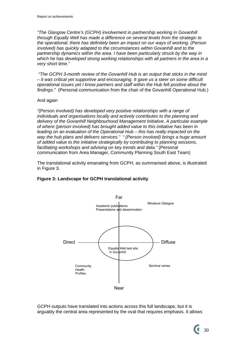*"The Glasgow Centre's (GCPH) involvement in partnership working in Govanhill through Equally Well has made a difference on several levels from the strategic to the operational; there has definitely been an impact on our ways of working. (Person involved) has quickly adapted to the circumstances within Govanhill and to the partnership dynamics within the area. I have been particularly struck by the way in which he has developed strong working relationships with all partners in the area in a very short time."* 

 *"The GCPH 3-month review of the Govanhill Hub is an output that sticks in the mind – it was critical yet supportive and encouraging. It gave us a steer on some difficult operational issues yet I know partners and staff within the Hub felt positive about the findings."* (Personal communication from the chair of the Govanhill Operational Hub.)

## And again

*"*(Person involved*) has developed very positive relationships with a range of individuals and organisations locally and actively contributes to the planning and delivery of the Govanhill Neighbourhood Management Initiative. A particular example of where (person involved) has brought added value to this initiative has been in leading on an evaluation of the Operational Hub – this has really impacted on the way the hub plans and delivers services." " (Person involved) brings a huge amount of added value to the initiative strategically by contributing to planning sessions, facilitating workshops and advising on key trends and data."* (Personal communication from Area Manager, Community Planning South East Team)

The translational activity emanating from GCPH, as summarised above, is illustrated in Figure 3.

# **Figure 3: Landscape for GCPH translational activity**



GCPH outputs have translated into actions across this full landscape, but it is arguably the central area represented by the oval that requires emphasis. It allows

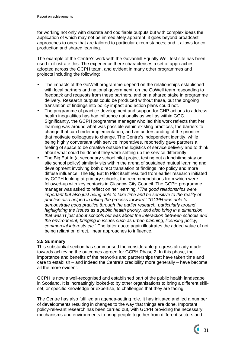for working not only with discrete and codifiable outputs but with complex ideas the application of which may not be immediately apparent; it goes beyond broadcast approaches to ones that are tailored to particular circumstances; and it allows for coproduction and shared learning.

The example of the Centre's work with the Govanhill Equally Well test site has been used to illustrate this. The experience there characterises a set of approaches adopted across the GCPH team, and evident in many other programmes and projects including the following:

- The impacts of the GoWell programme depend on the relationships established with local partners and national government, on the GoWell team responding to feedback and requests from these partners, and on a shared stake in programme delivery. Research outputs could be produced without these, but the ongoing translation of findings into policy impact and action plans could not.
- The programme of practice development and support for CHP actions to address health inequalities has had influence nationally as well as within GGC. Significantly, the GCPH programme manager who led this work reflects that her learning was around what was possible within existing practices, the barriers to change that can hinder implementation, and an understanding of the priorities that motivate colleagues to change. The Centre's independent identity, while being highly conversant with service imperatives, reportedly gave partners a feeling of space to be creative outside the logistics of service delivery and to think about what could be done if they were setting up the service differently.
- The Big Eat In (a secondary school pilot project testing out a lunchtime stay on site school policy) similarly sits within the arena of sustained mutual learning and development involving both direct translation of findings into policy and more diffuse influence. The Big Eat In Pilot itself resulted from earlier research initiated by GCPH looking at primary schools, the recommendations from which were followed-up with key contacts in Glasgow City Council. The GCPH programme manager was asked to reflect on her learning. "*The good relationships were important but also just being able to take time and be sensitive to the reality of practice also helped in taking the process forward.*" "*GCPH was able to demonstrate good practice through the earlier research, particularly around highlighting the issues as a public health priority, and also bring in a dimension that wasn't just about schools but was about the interaction between schools and the environment, bringing in issues such as urban planning, licensing policy, commercial interests etc*." The latter quote again illustrates the added value of not being reliant on direct, linear approaches to influence.

# **3.5 Summary**

This substantial section has summarised the considerable progress already made towards achieving the outcomes agreed for GCPH Phase 2. In this phase, the importance and benefits of the networks and partnerships that have taken time and care to establish – and indeed the Centre's credibility more generally – have become all the more evident.

GCPH is now a well-recognised and established part of the public health landscape in Scotland. It is increasingly looked-to by other organisations to bring a different skillset, or specific knowledge or expertise, to challenges that they are facing.

The Centre has also fulfilled an agenda-setting role. It has initiated and led a number of developments resulting in changes to the way that things are done. Important policy-relevant research has been carried out, with GCPH providing the necessary mechanisms and environments to bring people together from different sectors and

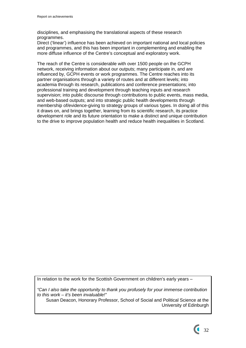disciplines, and emphasising the translational aspects of these research programmes.

Direct ('linear') influence has been achieved on important national and local policies and programmes, and this has been important in complementing and enabling the more diffuse influence of the Centre's conceptual and exploratory work.

The reach of the Centre is considerable with over 1500 people on the GCPH network, receiving information about our outputs; many participate in, and are influenced by, GCPH events or work programmes. The Centre reaches into its partner organisations through a variety of routes and at different levels; into academia through its research, publications and conference presentations; into professional training and development through teaching inputs and research supervision; into public discourse through contributions to public events, mass media, and web-based outputs; and into strategic public health developments through membership of/evidence-giving to strategy groups of various types. In doing all of this it draws on, and brings together, learning from its scientific research, its practice development role and its future orientation to make a distinct and unique contribution to the drive to improve population health and reduce health inequalities in Scotland.

In relation to the work for the Scottish Government on children's early years –

*"Can I also take the opportunity to thank you profusely for your immense contribution to this work – it's been invaluable!"* 

Susan Deacon, Honorary Professor, School of Social and Political Science at the University of Edinburgh

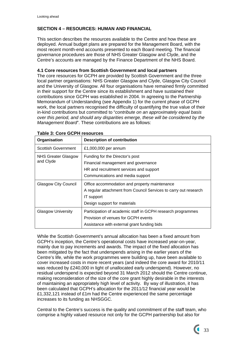# **SECTION 4 – RESOURCES: HUMAN AND FINANCIAL**

This section describes the resources available to the Centre and how these are deployed. Annual budget plans are prepared for the Management Board, with the most recent month-end accounts presented to each Board meeting. The financial governance procedures are those of NHS Greater Glasgow and Clyde, and the Centre's accounts are managed by the Finance Department of the NHS Board.

# **4.1 Core resources from Scottish Government and local partners**

The core resources for GCPH are provided by Scottish Government and the three local partner organisations: NHS Greater Glasgow and Clyde, Glasgow City Council and the University of Glasgow. All four organisations have remained firmly committed in their support for the Centre since its establishment and have sustained their contributions since GCPH was established in 2004. In agreeing to the Partnership Memorandum of Understanding (see Appendix 1) for the current phase of GCPH work, the local partners recognised the difficulty of quantifying the true value of their in-kind contributions but committed to "*contribute on an approximately equal basis over this period, and should any disparities emerge, these will be considered by the Management Board*". These contributions are as follows:

| Organisation                            | <b>Description of contribution</b>                                                                                                                              |  |
|-----------------------------------------|-----------------------------------------------------------------------------------------------------------------------------------------------------------------|--|
| Scottish Government                     | £1,000,000 per annum                                                                                                                                            |  |
| <b>NHS Greater Glasgow</b><br>and Clyde | Funding for the Director's post<br>Financial management and governance<br>HR and recruitment services and support<br>Communications and media support           |  |
| <b>Glasgow City Council</b>             | Office accommodation and property maintenance<br>A regular attachment from Council Services to carry out research<br>IT support<br>Design support for materials |  |
| <b>Glasgow University</b>               | Participation of academic staff in GCPH research programmes<br>Provision of venues for GCPH events<br>Assistance with external grant funding bids               |  |

|  |  |  |  |  |  | <b>Table 3: Core GCPH resources</b> |
|--|--|--|--|--|--|-------------------------------------|
|--|--|--|--|--|--|-------------------------------------|

While the Scottish Government's annual allocation has been a fixed amount from GCPH's inception, the Centre's operational costs have increased year-on-year, mainly due to pay increments and awards. The impact of the fixed allocation has been mitigated by the fact that underspends arising in the earlier years of the Centre's life, while the work programmes were building up, have been available to cover increased costs in more recent years (and indeed the core award for 2010/11 was reduced by £240,000 in light of unallocated early underspend). However, no residual underspend is expected beyond 31 March 2012 should the Centre continue, making reconsideration of the size of the core grant highly desirable in the interests of maintaining an appropriately high level of activity. By way of illustration, it has been calculated that GCPH's allocation for the 2011/12 financial year would be £1,332,121 instead of £1m had the Centre experienced the same percentage increases to its funding as NHSGGC.

Central to the Centre's success is the quality and commitment of the staff team, who comprise a highly valued resource not only for the GCPH partnership but also for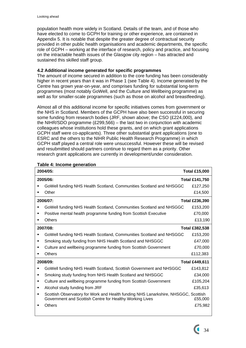population health more widely in Scotland. Details of the team, and of those who have elected to come to GCPH for training or other experience, are contained in Appendix 5. It is notable that despite the greater degree of contractual security provided in other public health organisations and academic departments, the specific role of GCPH – working at the interface of research, policy and practice, and focusing on the intractable health issues of the Glasgow city region – has attracted and sustained this skilled staff group.

# **4.2 Additional income generated for specific programmes**

The amount of income secured in addition to the core funding has been considerably higher in recent years than it was in Phase 1 (see Table 4). Income generated by the Centre has grown year-on-year, and comprises funding for substantial long-term programmes (most notably GoWell, and the Culture and Wellbeing programme) as well as for smaller-scale programmes (such as those on alcohol and breastfeeding).

Almost all of this additional income for specific initiatives comes from government or the NHS in Scotland. Members of the GCPH have also been successful in securing some funding from research bodies (JRF, shown above; the CSO (£224,000), and the NIHR/SDO programme (£299,566) – the last two in conjunction with academic colleagues whose institutions hold these grants, and on which grant applications GCPH staff were co-applicants). Three other substantial grant applications (one to ESRC and the others to the NIHR Public Health Research Programme) in which GCPH staff played a central role were unsuccessful. However these will be revised and resubmitted should partners continue to regard them as a priority. Other research grant applications are currently in development/under consideration.

| 2004/05:                                                                                                                                            | <b>Total £15,000</b>  |
|-----------------------------------------------------------------------------------------------------------------------------------------------------|-----------------------|
| 2005/06:                                                                                                                                            | Total £141,750        |
| GoWell funding NHS Health Scotland, Communities Scotland and NHSGGC<br>п                                                                            | £127,250              |
| Other                                                                                                                                               | £14,500               |
| 2006/07:                                                                                                                                            | <b>Total £236,390</b> |
| GoWell funding NHS Health Scotland, Communities Scotland and NHSGGC                                                                                 | £153,200              |
| Positive mental health programme funding from Scottish Executive<br>٠                                                                               | £70,000               |
| <b>Others</b><br>٠                                                                                                                                  | £13,190               |
| 2007/08:                                                                                                                                            | <b>Total £382,538</b> |
| GoWell funding NHS Health Scotland, Communities Scotland and NHSGGC<br>٠                                                                            | £153,200              |
| Smoking study funding from NHS Health Scotland and NHSGGC<br>٠                                                                                      | £47,000               |
| Culture and wellbeing programme funding from Scottish Government<br>٠                                                                               | £70,000               |
| <b>Others</b><br>п                                                                                                                                  | £112,383              |
| 2008/09:                                                                                                                                            | <b>Total £449,611</b> |
| GoWell funding NHS Health Scotland, Scottish Government and NHSGGC                                                                                  | £143,812              |
| Smoking study funding from NHS Health Scotland and NHSGGC<br>٠                                                                                      | £34,000               |
| Culture and wellbeing programme funding from Scottish Government<br>٠                                                                               | £105,204              |
| Alcohol study funding from JRF<br>٠                                                                                                                 | £35,613               |
| Scottish Observatory for Work and Health funding NHS Lanarkshire, NHSGGC, Scottish<br>٠<br>Government and Scottish Centre for Healthy Working Lives | £55,000               |
| Others                                                                                                                                              | £75,982               |

## **Table 4: Income generation**

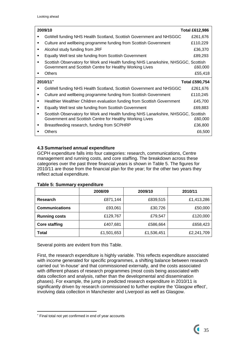| 2009/10                                                                                                                                        | <b>Total £612,986</b> |
|------------------------------------------------------------------------------------------------------------------------------------------------|-----------------------|
| GoWell funding NHS Health Scotland, Scottish Government and NHSGGC                                                                             | £261,676              |
| Culture and wellbeing programme funding from Scottish Government                                                                               | £110,229              |
| Alcohol study funding from JRF                                                                                                                 | £36,370               |
| Equally Well test site funding from Scottish Government                                                                                        | £89,293               |
| Scottish Observatory for Work and Health funding NHS Lanarkshire, NHSGGC, Scottish<br>Government and Scottish Centre for Healthy Working Lives | £60,000               |
| <b>Others</b>                                                                                                                                  | £55,418               |
| $2010/11*$                                                                                                                                     | <b>Total £590,754</b> |
| GoWell funding NHS Health Scotland, Scottish Government and NHSGGC                                                                             | £261,676              |
| Culture and wellbeing programme funding from Scottish Government                                                                               | £110,245              |
| Healthier Wealthier Children evaluation funding from Scottish Government                                                                       | £45,700               |
| Equally Well test site funding from Scottish Government                                                                                        | £69,883               |
| Scottish Observatory for Work and Health funding NHS Lanarkshire, NHSGGC, Scottish<br>Government and Scottish Centre for Healthy Working Lives | £60,000               |
| Breastfeeding research, funding from SCPHRP                                                                                                    | £36,800               |
| <b>Others</b>                                                                                                                                  | £6,500                |

# **4.3 Summarised annual expenditure**

GCPH expenditure falls into four categories: research, communications, Centre management and running costs, and core staffing. The breakdown across these categories over the past three financial years is shown in Table 5. The figures for 2010/11 are those from the financial plan for the year; for the other two years they reflect actual expenditure.

|                       | 2008/09    | 2009/10    | 2010/11    |
|-----------------------|------------|------------|------------|
| Research              | £871,144   | £839,515   | £1,413,286 |
| <b>Communications</b> | £93,061    | £30,726    | £50,000    |
| <b>Running costs</b>  | £129,767   | £79,547    | £120,000   |
| <b>Core staffing</b>  | £407,681   | £586,664   | £658,423   |
| <b>Total</b>          | £1,501,653 | £1,536,451 | £2,241,709 |

# **Table 5: Summary expenditure**

Several points are evident from this Table.

First, the research expenditure is highly variable. This reflects expenditure associated with income generated for specific programmes, a shifting balance between research carried out 'in-house' and that commissioned externally, and the costs associated with different phases of research programmes (most costs being associated with data collection and analysis, rather than the developmental and dissemination phases). For example, the jump in predicted research expenditure in 2010/11 is significantly driven by research commissioned to further explore the 'Glasgow effect', involving data collection in Manchester and Liverpool as well as Glasgow.

<u>.</u>

<span id="page-35-0"></span> Final total not yet confirmed in end of year accounts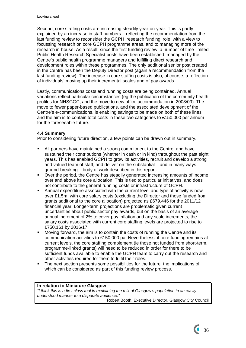Second, core staffing costs are increasing steadily year-on-year. This is partly explained by an increase in staff numbers – reflecting the recommendation from the last funding review to reconsider the GCPH 'research funding' role, with a view to focussing research on core GCPH programme areas, and to managing more of the research in-house. As a result, since the first funding review, a number of time-limited Public Health Research Specialist posts have been established, managed by the Centre's public health programme managers and fulfilling direct research and development roles within these programmes. The only additional senior post created in the Centre has been the Deputy Director post (again a recommendation from the last funding review). The increase in core staffing costs is also, of course, a reflection of individuals' moving up their incremental scales and of pay awards.

Lastly, communications costs and running costs are being contained. Annual variations reflect particular circumstances (eg the publication of the community health profiles for NHSGGC, and the move to new office accommodation in 2008/09). The move to fewer paper-based publications, and the associated development of the Centre's e-communications, is enabling savings to be made on both of these lines and the aim is to contain total costs in these two categories to £150,000 per annum for the foreseeable future.

## **4.4 Summary**

Prior to considering future direction, a few points can be drawn out in summary.

- All partners have maintained a strong commitment to the Centre, and have sustained their contributions (whether in cash or in kind) throughout the past eight years. This has enabled GCPH to grow its activities, recruit and develop a strong and valued team of staff, and deliver on the substantial – and in many ways ground-breaking – body of work described in this report.
- Over the period, the Centre has steadily generated increasing amounts of income over and above its core allocation. This is tied to particular initiatives, and does not contribute to the general running costs or infrastructure of GCPH.
- Annual expenditure associated with the current level and type of activity is now over £1.5m, with core salary costs (excluding the Director and those funded from grants additional to the core allocation) projected as £679,446 for the 2011/12 financial year. Longer-term projections are problematic given current uncertainties about public sector pay awards, but on the basis of an average annual increment of 2% to cover pay inflation and any scale increments, the salary costs associated with current core staffing levels are projected to rise to £750,161 by 2016/17.
- Moving forward, the aim is to contain the costs of running the Centre and its communication activities to £150,000 pa. Nevertheless, if core funding remains at current levels, the core staffing complement (ie those not funded from short-term, programme-linked grants) will need to be reduced in order for there to be sufficient funds available to enable the GCPH team to carry out the research and other activities required for them to fulfil their roles.
- The next section presents some possibilities for the future, the implications of which can be considered as part of this funding review process.

#### **In relation to Miniature Glasgow –**

*"I think this is a first class tool in explaining the mix of Glasgow's population in an easily understood manner to a disparate audience."* 

 $\overline{\phantom{a}}$  36

Robert Booth, Executive Director, Glasgow City Council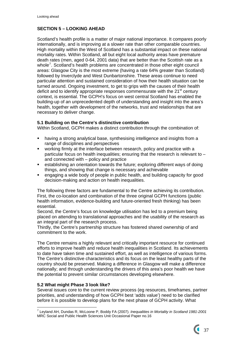# **SECTION 5 – LOOKING AHEAD**

Scotland's health profile is a matter of major national importance. It compares poorly internationally, and is improving at a slower rate than other comparable countries. High mortality within the West of Scotland has a substantial impact on these national mortality rates. Within Scotland, all but eight local authority areas have premature death rates (men, aged 0-64, 2001 data) that are better than the Scottish rate as a whole<sup>[7](#page-37-0)</sup>. Scotland's health problems are concentrated in those other eight council areas: Glasgow City is the most extreme (having a rate 64% greater than Scotland) followed by Inverclyde and West Dunbartonshire. These areas continue to need particular attention and sustained consideration of how their health situation can be turned around. Ongoing investment, to get to grips with the causes of their health deficit and to identify appropriate responses commensurate with the  $21<sup>st</sup>$  century context, is essential. The GCPH's focus on west central Scotland has enabled the building-up of an unprecedented depth of understanding and insight into the area's health, together with development of the networks, trust and relationships that are necessary to deliver change.

# **5.1 Building on the Centre's distinctive contribution**

Within Scotland, GCPH makes a distinct contribution through the combination of:

- having a strong analytical base, synthesising intelligence and insights from a range of disciplines and perspectives
- working firmly at the interface between research, policy and practice with a particular focus on health inequalities; ensuring that the research is relevant to – and connected with – policy and practice
- establishing an orientation towards the future; exploring different ways of doing things, and showing that change is necessary and achievable
- engaging a wide body of people in public health, and building capacity for good decision-making and action on health inequalities.

The following three factors are fundamental to the Centre achieving its contribution. First, the co-location and combination of the three original GCPH functions (public health information, evidence-building and future-oriented fresh thinking) has been essential.

Second, the Centre's focus on knowledge utilisation has led to a premium being placed on attending to translational approaches and the usability of the research as an integral part of the research process.

Thirdly, the Centre's partnership structure has fostered shared ownership of and commitment to the work.

The Centre remains a highly relevant and critically important resource for continued efforts to improve health and reduce health inequalities in Scotland. Its achievements to date have taken time and sustained effort, as well as intelligence of various forms. The Centre's distinctive characteristics and its focus on the least healthy parts of the country should be preserved. Making a difference in Glasgow will make a difference nationally; and through understanding the drivers of this area's poor health we have the potential to prevent similar circumstances developing elsewhere.

# **5.2 What might Phase 3 look like?**

Several issues core to the current review process (eg resources, timeframes, partner priorities, and understanding of how GCPH best 'adds value') need to be clarified before it is possible to develop plans for the next phase of GCPH activity. What

<span id="page-37-0"></span> 7 Leyland AH, Dundas R, McLoone P, Boddy FA (2007). *Inequalities in Mortality in Scotland 1981-2001*  MRC Social and Public Health Sciences Unit Occasional Paper no.16

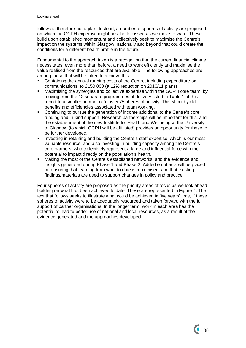follows is therefore not a plan. Instead, a number of spheres of activity are proposed, on which the GCPH expertise might best be focussed as we move forward. These build upon established momentum and collectively seek to maximise the Centre's impact on the systems within Glasgow, nationally and beyond that could create the conditions for a different health profile in the future.

Fundamental to the approach taken is a recognition that the current financial climate necessitates, even more than before, a need to work efficiently and maximise the value realised from the resources that are available. The following approaches are among those that will be taken to achieve this.

- Containing the annual running costs of the Centre, including expenditure on communications, to £150,000 (a 12% reduction on 2010/11 plans).
- Maximising the synergies and collective expertise within the GCPH core team, by moving from the 12 separate programmes of delivery listed in Table 1 of this report to a smaller number of 'clusters'/spheres of activity. This should yield benefits and efficiencies associated with team working.
- Continuing to pursue the generation of income additional to the Centre's core funding and in-kind support. Research partnerships will be important for this, and the establishment of the new Institute for Health and Wellbeing at the University of Glasgow (to which GCPH will be affiliated) provides an opportunity for these to be further developed.
- Investing in retaining and building the Centre's staff expertise, which is our most valuable resource; and also investing in building capacity among the Centre's core partners, who collectively represent a large and influential force with the potential to impact directly on the population's health.
- Making the most of the Centre's established networks, and the evidence and insights generated during Phase 1 and Phase 2. Added emphasis will be placed on ensuring that learning from work to date is maximised, and that existing findings/materials are used to support changes in policy and practice.

Four spheres of activity are proposed as the priority areas of focus as we look ahead, building on what has been achieved to date. These are represented in Figure 4. The text that follows seeks to illustrate what could be achieved in five years' time, if these spheres of activity were to be adequately resourced and taken forward with the full support of partner organisations. In the longer term, work in each area has the potential to lead to better use of national and local resources, as a result of the evidence generated and the approaches developed.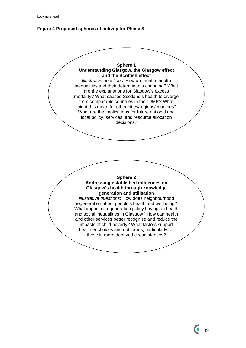

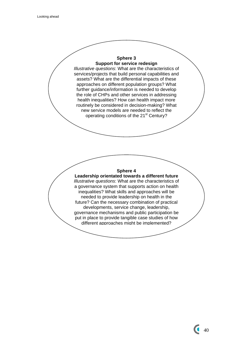#### **Sphere 3 Support for service redesign**

*Illustrative questions*: What are the characteristics of services/projects that build personal capabilities and assets? What are the differential impacts of these approaches on different population groups? What further guidance/information is needed to develop the role of CHPs and other services in addressing health inequalities? How can health impact more routinely be considered in decision-making? What new service models are needed to reflect the operating conditions of the 21<sup>st</sup> Century?

## **Sphere 4**

**Leadership orientated towards a different future**  *Illustrative questions*: What are the characteristics of a governance system that supports action on health inequalities? What skills and approaches will be needed to provide leadership on health in the future? Can the necessary combination of practical developments, service change, leadership, governance mechanisms and public participation be put in place to provide tangible case studies of how different approaches might be implemented?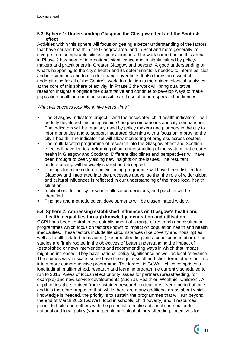# **5.3 Sphere 1: Understanding Glasgow, the Glasgow effect and the Scottish effect**

Activities within this sphere will focus on getting a better understanding of the factors that have caused health in the Glasgow area, and in Scotland more generally, to diverge from comparable cities/regions/countries. The work carried out in this arena in Phase 2 has been of international significance and is highly valued by policymakers and practitioners in Greater Glasgow and beyond. A good understanding of what's happening to the city's health and its determinants is needed to inform policies and interventions and to monitor change over time. It also forms an essential underpinning for all of the Centre's work. In addition to the epidemiological analyses at the core of this sphere of activity, in Phase 3 the work will bring qualitative research insights alongside the quantitative and continue to develop ways to make population health information accessible and useful to non-specialist audiences.

## *What will success look like in five years' time?*

- The Glasgow Indicators project and the associated child health indicators will be fully developed, including within-Glasgow comparisons and city comparisons. The indicators will be regularly used by policy makers and planners in the city to inform priorities and to support integrated planning with a focus on improving the city's health. The indicator set will allow monitoring of progress across sectors.
- The multi-faceted programme of research into the Glasgow effect and Scottish effect will have led to a reframing of our understanding of the system that creates health in Glasgow and Scotland. Different disciplines and perspectives will have been brought to bear, yielding new insights on the issues. The resultant understanding will be widely shared and accepted.
- **Findings from the culture and wellbeing programme will have been distilled for** Glasgow and integrated into the processes above, so that the role of wider global and cultural influences is reflected in our understanding of the more local health situation.
- Implications for policy, resource allocation decisions, and practice will be identified.
- Findings and methodological developments will be disseminated widely.

## **5.4 Sphere 2: Addressing established influences on Glasgow's health and health inequalities through knowledge generation and utilisation**

GCPH has been central to the establishment of a range of research and evaluation programmes which focus on factors known to impact on population health and health inequalities. These factors include life circumstances (like poverty and housing) as well as health-related behaviours (like breastfeeding and alcohol consumption). The studies are firmly rooted in the objectives of better understanding the impact of (established or new) interventions and recommending ways in which that impact might be increased. They have national policy significance as well as local relevance. The studies vary in scale: some have been quite small and short-term, others built up into a more comprehensive programme. The largest is GoWell which comprises a longitudinal, multi-method, research and learning programme currently scheduled to run to 2015. Areas of focus reflect priority issues for partners (breastfeeding, for example) and new service developments (such as Healthier, Wealthier Children). A depth of insight is gained from sustained research endeavours over a period of time and it is therefore proposed that, while there are many additional areas about which knowledge is needed, the priority is to sustain the programmes that will run beyond the end of March 2012 (GoWell, food in schools, child poverty) and if resources permit to build upon others with the potential to make a distinct contribution to national and local policy (young people and alcohol, breastfeeding, incentives for

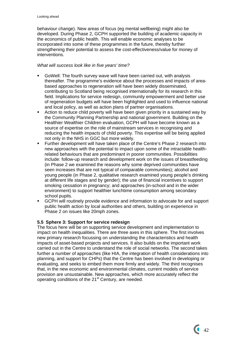behaviour change). New areas of focus (eg mental wellbeing) might also be developed. During Phase 2, GCPH supported the building of academic capacity in the economics of public health. This will enable economic analyses to be incorporated into some of these programmes in the future, thereby further strengthening their potential to assess the cost-effectiveness/value for money of interventions.

# *What will success look like in five years' time?*

- GoWell: The fourth survey wave will have been carried out, with analysis thereafter. The programme's evidence about the processes and impacts of areabased approaches to regeneration will have been widely disseminated, contributing to Scotland being recognised internationally for its research in this field. Implications for service redesign, community empowerment and better use of regeneration budgets will have been highlighted and used to influence national and local policy, as well as action plans of partner organisations.
- Action to reduce child poverty will have been given priority in a sustained way by the Community Planning Partnership and national government. Building on the Healthier Wealthier Children evaluation, GCPH will have become known as a source of expertise on the role of mainstream services in recognising and reducing the health impacts of child poverty. This expertise will be being applied not only in the NHS in GGC but more widely.
- Further development will have taken place of the Centre's Phase 2 research into new approaches with the potential to impact upon some of the intractable healthrelated behaviours that are predominant in poorer communities. Possibilities include: follow-up research and development work on the issues of breastfeeding (in Phase 2 we examined the reasons why some deprived communities have seen increases that are not typical of comparable communities); alcohol and young people (in Phase 2, qualitative research examined young people's drinking at different life stages and by gender); the use of financial incentives to support smoking cessation in pregnancy; and approaches (in-school and in the wider environment) to support healthier lunchtime consumption among secondary school pupils.
- GCPH will routinely provide evidence and information to advocate for and support public health action by local authorities and others, building on experience in Phase 2 on issues like 20mph zones.

# **5.5 Sphere 3: Support for service redesign**

The focus here will be on supporting service development and implementation to impact on health inequalities. There are three axes in this sphere. The first involves new primary research focussing on understanding the characteristics and health impacts of asset-based projects and services. It also builds on the important work carried out in the Centre to understand the role of social networks. The second takes further a number of approaches (like HIA, the integration of health considerations into planning, and support for CHPs) that the Centre has been involved in developing or evaluating, and seeks to embed them more firmly and widely. The third recognises that, in the new economic and environmental climates, current models of service provision are unsustainable. New approaches, which more accurately reflect the operating conditions of the 21<sup>st</sup> Century, are needed.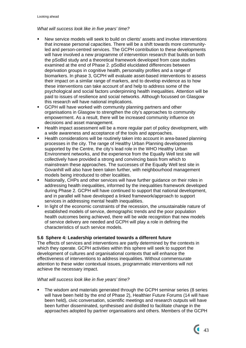# *What will success look like in five years' time?*

- New service models will seek to build on clients' assets and involve interventions that increase personal capacities. There will be a shift towards more communityled and person-centred services. The GCPH contribution to these developments will have involved a new programme of intervention research that builds on both the pSoBid study and a theoretical framework developed from case studies examined at the end of Phase 2. pSoBid elucidated differences between deprivation groups in cognitive health, personality profiles and a range of biomarkers. In phase 3, GCPH will evaluate asset-based interventions to assess their impact on a similar range of markers, and to develop evidence as to how these interventions can take account of and help to address some of the psychological and social factors underpinning health inequalities. Attention will be paid to issues of resilience and social networks. Although focussed on Glasgow this research will have national implications.
- GCPH will have worked with community planning partners and other organisations in Glasgow to strengthen the city's approaches to community empowerment. As a result, there will be increased community influence on decisions and asset management.
- **Health impact assessment will be a more regular part of policy development, with** a wide awareness and acceptance of the tools and approaches.
- Health considerations will be routinely taken into account in area-based planning processes in the city. The range of Healthy Urban Planning developments supported by the Centre, the city's lead role in the WHO Healthy Urban Environment networks, and the experience from the Equally Well test site will collectively have provided a strong and convincing basis from which to mainstream these approaches. The successes of the Equally Well test site in Govanhill will also have been taken further, with neighbourhood management models being introduced to other localities.
- Nationally, CHPs and other services will have further guidance on their roles in addressing health inequalities, informed by the inequalities framework developed during Phase 2. GCPH will have continued to support that national development, and in parallel will have developed a linked framework/approach to support services in addressing mental health inequalities.
- In light of the economic constraints of the recession, the unsustainable nature of established models of service, demographic trends and the poor population health outcomes being achieved, there will be wide recognition that new models of service delivery are needed and GCPH will play a role in defining the characteristics of such service models.

# **5.6 Sphere 4: Leadership orientated towards a different future**

The effects of services and interventions are partly determined by the contexts in which they operate. GCPH activities within this sphere will seek to support the development of cultures and organisational contexts that will enhance the effectiveness of interventions to address inequalities. Without commensurate attention to these wider contextual issues, programmatic interventions will not achieve the necessary impact.

# *What will success look like in five years' time?*

 The wisdom and materials generated through the GCPH seminar series (8 series will have been held by the end of Phase 2), Healthier Future Forums (14 will have been held), civic conversation, scientific meetings and research outputs will have been further disseminated, synthesised and distilled to facilitate change in the approaches adopted by partner organisations and others. Members of the GCPH

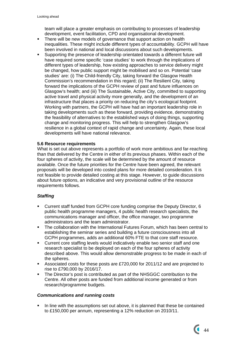team will place a greater emphasis on contributing to processes of leadership development, event facilitation, CPD and organisational development.

- There will be new models of governance that support action on health inequalities. These might include different types of accountability. GCPH will have been involved in national and local discussions about such developments.
- Supporting the presence of leadership orientated towards a different future will have required some specific 'case studies' to work through the implications of different types of leadership, how existing approaches to service delivery might be changed, how public support might be mobilised and so on. Potential 'case studies' are: (i) The Child-friendly City, taking forward the Glasgow Health Commission's recommendation in this regard; (ii) The Resilient City, taking forward the implications of the GCPH review of past and future influences on Glasgow's health; and (iii) The Sustainable, Active City, committed to supporting active travel and physical activity more generally, and the development of an infrastructure that places a priority on reducing the city's ecological footprint. Working with partners, the GCPH will have had an important leadership role in taking developments such as these forward, providing evidence, demonstrating the feasibility of alternatives to the established ways of doing things, supporting change and monitoring progress. This will help to strengthen Glasgow's resilience in a global context of rapid change and uncertainty. Again, these local developments will have national relevance.

## **5.6 Resource requirements**

What is set out above represents a portfolio of work more ambitious and far-reaching than that delivered by the Centre in either of its previous phases. Within each of the four spheres of activity, the scale will be determined by the amount of resource available. Once the future priorities for the Centre have been agreed, the relevant proposals will be developed into costed plans for more detailed consideration. It is not feasible to provide detailed costing at this stage. However, to guide discussions about future options, an indicative and very provisional outline of the resource requirements follows.

# *Staffing*

- Current staff funded from GCPH core funding comprise the Deputy Director, 6 public health programme managers, 4 public health research specialists, the communications manager and officer, the office manager, two programme administrators and the team administrator.
- The collaboration with the International Futures Forum, which has been central to establishing the seminar series and building a future consciousness into all GCPH programmes, adds an additional 60% FTE to that core staff resource.
- Current core staffing levels would indicatively enable two senior staff and one research specialist to be deployed on each of the four spheres of activity described above. This would allow demonstrable progress to be made in each of the spheres.
- Associated costs for these posts are £720,000 for 2011/12 and are projected to rise to £790,000 by 2016/17.
- The Director's post is contributed as part of the NHSGGC contribution to the Centre. All other posts are funded from additional income generated or from research/programme budgets.

#### *Communications and running costs*

 In line with the assumptions set out above, it is planned that these be contained to £150,000 per annum, representing a 12% reduction on 2010/11.

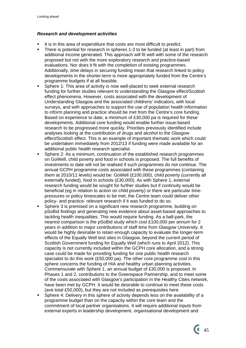# *Research and development activities*

- It is in this area of expenditure that costs are most difficult to predict.
- There is potential for research in spheres 1-3 to be funded (at least in part) from additional income generated. This approach will fit well with some of the research proposed but not with the more exploratory research and practice-based evaluations. Nor does it fit with the completion of existing programmes. Additionally, time delays in securing funding mean that research linked to policy developments in the shorter-term is more appropriately funded from the Centre's programme budgets if at all feasible.
- **Sphere 1: This area of activity is now well-placed to seek external research** funding for further studies relevant to understanding the Glasgow effect/Scottish effect phenomena. However, costs associated with the development of Understanding Glasgow and the associated childrens' indicators, with local surveys, and with approaches to support the use of population health information to inform planning and practice should be met from the Centre's core funding. Based on experience to date, a minimum of £30,000 pa is required for these developments. Additional core funding would enable further issue-based research to be progressed more quickly. Priorities previously identified include analyses looking at the contribution of drugs and alcohol to the Glasgow effect/Scottish effect. This is an example of important thematic work which could be undertaken immediately from 2012/13 if funding were made available for an additional public health research specialist.
- Sphere 2: As a minimum, continuation of the established research programmes on GoWell, child poverty and food in schools is proposed. The full benefits of investments to date will not be realised if such programmes do not continue. The annual GCPH programme costs associated with these programmes (containing them at 2010/11 levels) would be: GoWell (£100,000), child poverty (currently all externally funded), food in schools (£30,000). As with Sphere 1, external research funding would be sought for further studies but if continuity would be beneficial (eg in relation to action on child poverty) or there are particular timepressures or policy timescales to be met, the Centre team could deliver other policy- and practice- relevant research if it was funded to do so.
- Sphere 3 is premised on a significant new research programme, building on pSoBid findings and generating new evidence about asset-based approaches to tackling health inequalities. This would require funding. As a ball-park, the nearest comparison is the pSoBid study which cost £100,000 per annum for 2 years in addition to major contributions of staff time from Glasgow University. It would be highly desirable to retain enough capacity to evaluate the longer-term effects of the Equally Well test sites in Glasgow, beyond the current period of Scottish Government funding for Equally Well (which runs to April 2012). This capacity is not currently included within the GCPH core allocation, and a strong case could be made for providing funding for one public health research specialist to do this work (£50,000 pa). The other core programme cost in this sphere concerns the funding of HIA and healthy urban planning activities. Commensurate with Sphere 1, an annual budget of £30,000 is proposed. In Phases 1 and 2, contributions to the Greenspace Partnership, and to meet some of the costs associated with Glasgow's participation in the Healthy Cities network, have been met by GCPH. It would be desirable to continue to meet these costs (ave total £50,000), but they are not included as prerequisites here.
- Sphere 4: Delivery in this sphere of activity depends less on the availability of a programme budget than on the capacity within the core team and the commitment of local partner organisations. It will require additional inputs from external experts in leadership development, organisational development and

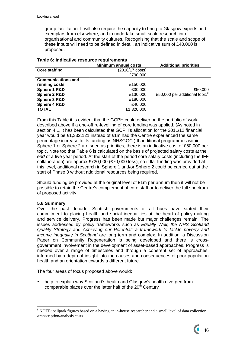group facilitation. It will also require the capacity to bring to Glasgow experts and exemplars from elsewhere, and to undertake small-scale research into organisational and community cultures. Recognising that the scale and scope of these inputs will need to be defined in detail, an indicative sum of £40,000 is proposed.

|                           | <b>Minimum annual costs</b> | <b>Additional priorities</b>              |
|---------------------------|-----------------------------|-------------------------------------------|
| <b>Core staffing</b>      | (2016/17 costs)             |                                           |
|                           | £790,000                    |                                           |
| <b>Communications and</b> |                             |                                           |
| running costs             | £150,000                    |                                           |
| Sphere 1 R&D              | £30,000                     | £50,000                                   |
| Sphere 2 R&D              | £130,000                    | £50,000 per additional topic <sup>8</sup> |
| Sphere 3 R&D              | £180,000                    |                                           |
| Sphere 4 R&D              | £40,000                     |                                           |
| <b>TOTAL</b>              | £1,320,000                  |                                           |

## **Table 6: Indicative resource requirements**

From this Table it is evident that the GCPH could deliver on the portfolio of work described above if a one-off re-levelling of core funding was applied. (As noted in section 4.1, it has been calculated that GCPH's allocation for the 2011/12 financial year would be £1,332,121 instead of £1m had the Centre experienced the same percentage increase to its funding as NHSGGC.) If additional programmes within Sphere 1 or Sphere 2 are seen as priorities, there is an indicative cost of £50,000 per topic. Note too that Table 6 is calculated on the basis of projected salary costs at the *end* of a five year period. At the start of the period core salary costs (including the IFF collaboration) are approx £720,000 (£70,000 less), so if flat funding was provided at this level, additional research in Sphere 1 and/or Sphere 2 could be carried out at the start of Phase 3 without additional resources being required.

Should funding be provided at the original level of £1m per annum then it will not be possible to retain the Centre's complement of core staff or to deliver the full spectrum of proposed activity.

# **5.6 Summary**

<u>.</u>

Over the past decade, Scottish governments of all hues have stated their commitment to placing health and social inequalities at the heart of policy-making and service delivery. Progress has been made but major challenges remain. The issues addressed by policy frameworks such as *Equally Well*; *the NHS Scotland Quality Strategy* and *Achieving our Potential: a framework to tackle poverty and income inequality in Scotland* are long term and complex. In addition, a Discussion Paper on Community Regeneration is being developed and there is crossgovernment involvement in the development of asset-based approaches. Progress is needed over a range of timescales and through a coherent set of approaches, informed by a depth of insight into the causes and consequences of poor population health and an orientation towards a different future.

The four areas of focus proposed above would:

 help to explain why Scotland's health and Glasgow's health diverged from comparable places over the latter half of the  $20<sup>th</sup>$  Century

<span id="page-46-0"></span><sup>&</sup>lt;sup>8</sup> NOTE: ballpark figures based on a having an in-house researcher and a small level of data collection /transcription/analysis costs.

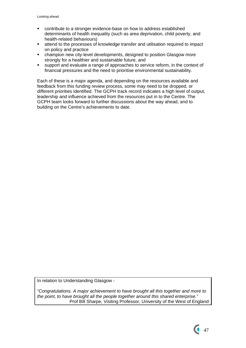- contribute to a stronger evidence-base on how to address established determinants of health inequality (such as area deprivation, child poverty, and health-related behaviours)
- attend to the processes of knowledge transfer and utilisation required to impact on policy and practice
- champion new city-level developments, designed to position Glasgow more strongly for a healthier and sustainable future, and
- support and evaluate a range of approaches to service reform, in the context of financial pressures and the need to prioritise environmental sustainability.

Each of these is a major agenda, and depending on the resources available and feedback from this funding review process, some may need to be dropped, or different priorities identified. The GCPH track record indicates a high level of output, leadership and influence achieved from the resources put in to the Centre. The GCPH team looks forward to further discussions about the way ahead, and to building on the Centre's achievements to date.

In relation to Understanding Glasgow -

*"Congratulations. A major achievement to have brought all this together and more to the point, to have brought all the people together around this shared enterprise."*  Prof Bill Sharpe, Visiting Professor, University of the West of England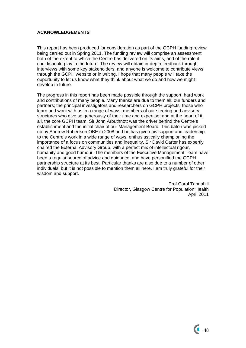# **ACKNOWLEDGEMENTS**

This report has been produced for consideration as part of the GCPH funding review being carried out in Spring 2011. The funding review will comprise an assessment both of the extent to which the Centre has delivered on its aims, and of the role it could/should play in the future. The review will obtain in-depth feedback through interviews with some key stakeholders, and anyone is welcome to contribute views through the GCPH website or in writing. I hope that many people will take the opportunity to let us know what they think about what we do and how we might develop in future.

The progress in this report has been made possible through the support, hard work and contributions of many people. Many thanks are due to them all: our funders and partners; the principal investigators and researchers on GCPH projects; those who learn and work with us in a range of ways; members of our steering and advisory structures who give so generously of their time and expertise; and at the heart of it all, the core GCPH team. Sir John Arbuthnott was the driver behind the Centre's establishment and the initial chair of our Management Board. This baton was picked up by Andrew Robertson OBE in 2008 and he has given his support and leadership to the Centre's work in a wide range of ways, enthusiastically championing the importance of a focus on communities and inequality. Sir David Carter has expertly chaired the External Advisory Group, with a perfect mix of intellectual rigour, humanity and good humour. The members of the Executive Management Team have been a regular source of advice and guidance, and have personified the GCPH partnership structure at its best. Particular thanks are also due to a number of other individuals, but it is not possible to mention them all here. I am truly grateful for their wisdom and support.

> Prof Carol Tannahill Director, Glasgow Centre for Population Health April 2011

 $\sim$  48